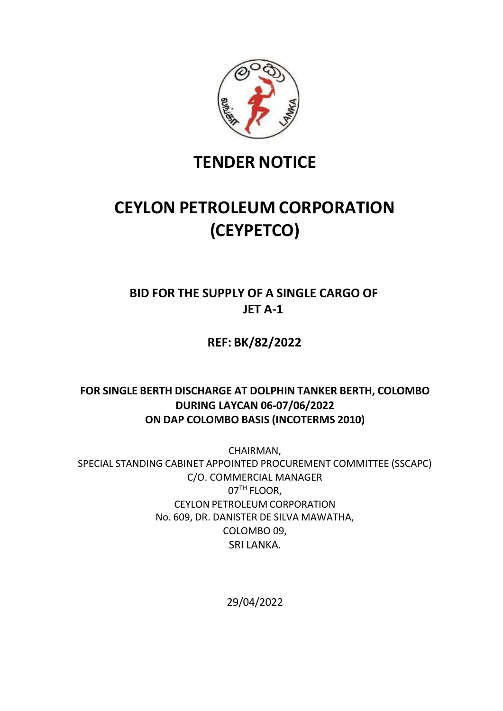

# **TENDER NOTICE**

# **CEYLON PETROLEUM CORPORATION (CEYPETCO)**

## **BID FOR THE SUPPLY OF A SINGLE CARGO OF JET A-1**

**REF: BK/82/2022**

## **FOR SINGLE BERTH DISCHARGE AT DOLPHIN TANKER BERTH, COLOMBO DURING LAYCAN 06-07/06/2022 ON DAP COLOMBO BASIS (INCOTERMS 2010)**

CHAIRMAN, SPECIAL STANDING CABINET APPOINTED PROCUREMENT COMMITTEE (SSCAPC) C/O. COMMERCIAL MANAGER 07TH FLOOR, CEYLON PETROLEUM CORPORATION No. 609, DR. DANISTER DE SILVA MAWATHA, COLOMBO 09, SRI LANKA.

29/04/2022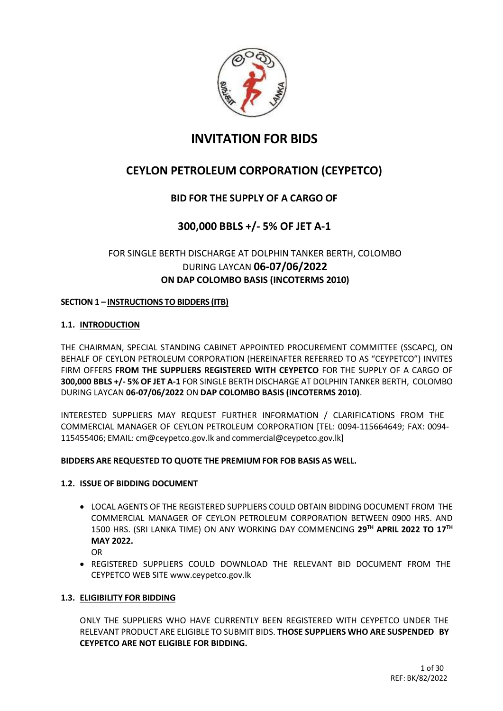

## **INVITATION FOR BIDS**

## **CEYLON PETROLEUM CORPORATION (CEYPETCO)**

## **BID FOR THE SUPPLY OF A CARGO OF**

## **300,000 BBLS +/- 5% OF JET A-1**

## FOR SINGLE BERTH DISCHARGE AT DOLPHIN TANKER BERTH, COLOMBO DURING LAYCAN **06-07/06/2022 ON DAP COLOMBO BASIS (INCOTERMS 2010)**

#### **SECTION 1 – INSTRUCTIONS TO BIDDERS (ITB)**

#### **1.1. INTRODUCTION**

THE CHAIRMAN, SPECIAL STANDING CABINET APPOINTED PROCUREMENT COMMITTEE (SSCAPC), ON BEHALF OF CEYLON PETROLEUM CORPORATION (HEREINAFTER REFERRED TO AS "CEYPETCO") INVITES FIRM OFFERS **FROM THE SUPPLIERS REGISTERED WITH CEYPETCO** FOR THE SUPPLY OF A CARGO OF **300,000 BBLS +/- 5% OF JET A-1** FOR SINGLE BERTH DISCHARGE AT DOLPHIN TANKER BERTH, COLOMBO DURING LAYCAN **06-07/06/2022** ON **DAP COLOMBO BASIS (INCOTERMS 2010)**.

INTERESTED SUPPLIERS MAY REQUEST FURTHER INFORMATION / CLARIFICATIONS FROM THE COMMERCIAL MANAGER OF CEYLON PETROLEUM CORPORATION [TEL: 0094-115664649; FAX: 0094- 115455406; EMAIL: [cm@ceypetco.gov.lk](mailto:cm@ceypetco.gov.lk) and [commercial@ceypetco.gov.lk\]](mailto:commercial@ceypetco.gov.lk)

#### **BIDDERS ARE REQUESTED TO QUOTE THE PREMIUM FOR FOB BASIS AS WELL.**

#### **1.2. ISSUE OF BIDDING DOCUMENT**

- LOCAL AGENTS OF THE REGISTERED SUPPLIERS COULD OBTAIN BIDDING DOCUMENT FROM THE COMMERCIAL MANAGER OF CEYLON PETROLEUM CORPORATION BETWEEN 0900 HRS. AND 1500 HRS. (SRI LANKA TIME) ON ANY WORKING DAY COMMENCING **29TH APRIL 2022 TO 17TH MAY 2022.**
	- OR
- REGISTERED SUPPLIERS COULD DOWNLOAD THE RELEVANT BID DOCUMENT FROM THE CEYPETCO WEB SITE [www.ceypetco.gov.lk](http://www.ceypetco.gov.lk/)

#### **1.3. ELIGIBILITY FOR BIDDING**

ONLY THE SUPPLIERS WHO HAVE CURRENTLY BEEN REGISTERED WITH CEYPETCO UNDER THE RELEVANT PRODUCT ARE ELIGIBLE TO SUBMIT BIDS. **THOSE SUPPLIERS WHO ARE SUSPENDED BY CEYPETCO ARE NOT ELIGIBLE FOR BIDDING.**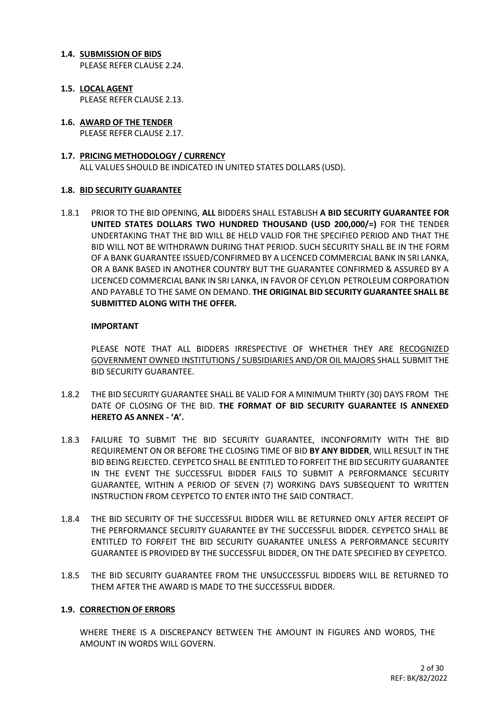#### **1.4. SUBMISSION OF BIDS**

PLEASE REFER CLAUSE 2.24.

- **1.5. LOCAL AGENT** PLEASE REFER CLAUSE 2.13.
- **1.6. AWARD OF THE TENDER** PLEASE REFER CLAUSE 2.17.
- **1.7. PRICING METHODOLOGY / CURRENCY** ALL VALUES SHOULD BE INDICATED IN UNITED STATES DOLLARS (USD).

#### **1.8. BID SECURITY GUARANTEE**

1.8.1 PRIOR TO THE BID OPENING, **ALL** BIDDERS SHALL ESTABLISH **A BID SECURITY GUARANTEE FOR UNITED STATES DOLLARS TWO HUNDRED THOUSAND (USD 200,000/=)** FOR THE TENDER UNDERTAKING THAT THE BID WILL BE HELD VALID FOR THE SPECIFIED PERIOD AND THAT THE BID WILL NOT BE WITHDRAWN DURING THAT PERIOD. SUCH SECURITY SHALL BE IN THE FORM OF A BANK GUARANTEE ISSUED/CONFIRMED BY A LICENCED COMMERCIAL BANK IN SRI LANKA, OR A BANK BASED IN ANOTHER COUNTRY BUT THE GUARANTEE CONFIRMED & ASSURED BY A LICENCED COMMERCIAL BANK IN SRI LANKA, IN FAVOR OF CEYLON PETROLEUM CORPORATION AND PAYABLE TO THE SAME ON DEMAND. **THE ORIGINAL BID SECURITY GUARANTEE SHALL BE SUBMITTED ALONG WITH THE OFFER.**

#### **IMPORTANT**

PLEASE NOTE THAT ALL BIDDERS IRRESPECTIVE OF WHETHER THEY ARE RECOGNIZED GOVERNMENT OWNED INSTITUTIONS / SUBSIDIARIES AND/OR OIL MAJORS SHALL SUBMIT THE BID SECURITY GUARANTEE.

- 1.8.2 THE BID SECURITY GUARANTEE SHALL BE VALID FOR A MINIMUM THIRTY (30) DAYS FROM THE DATE OF CLOSING OF THE BID. **THE FORMAT OF BID SECURITY GUARANTEE IS ANNEXED HERETO AS ANNEX - 'A'.**
- 1.8.3 FAILURE TO SUBMIT THE BID SECURITY GUARANTEE, INCONFORMITY WITH THE BID REQUIREMENT ON OR BEFORE THE CLOSING TIME OF BID **BY ANY BIDDER**, WILL RESULT IN THE BID BEING REJECTED. CEYPETCO SHALL BE ENTITLED TO FORFEIT THE BID SECURITY GUARANTEE IN THE EVENT THE SUCCESSFUL BIDDER FAILS TO SUBMIT A PERFORMANCE SECURITY GUARANTEE, WITHIN A PERIOD OF SEVEN (7) WORKING DAYS SUBSEQUENT TO WRITTEN INSTRUCTION FROM CEYPETCO TO ENTER INTO THE SAID CONTRACT.
- 1.8.4 THE BID SECURITY OF THE SUCCESSFUL BIDDER WILL BE RETURNED ONLY AFTER RECEIPT OF THE PERFORMANCE SECURITY GUARANTEE BY THE SUCCESSFUL BIDDER. CEYPETCO SHALL BE ENTITLED TO FORFEIT THE BID SECURITY GUARANTEE UNLESS A PERFORMANCE SECURITY GUARANTEE IS PROVIDED BY THE SUCCESSFUL BIDDER, ON THE DATE SPECIFIED BY CEYPETCO.
- 1.8.5 THE BID SECURITY GUARANTEE FROM THE UNSUCCESSFUL BIDDERS WILL BE RETURNED TO THEM AFTER THE AWARD IS MADE TO THE SUCCESSFUL BIDDER.

#### **1.9. CORRECTION OF ERRORS**

WHERE THERE IS A DISCREPANCY BETWEEN THE AMOUNT IN FIGURES AND WORDS, THE AMOUNT IN WORDS WILL GOVERN.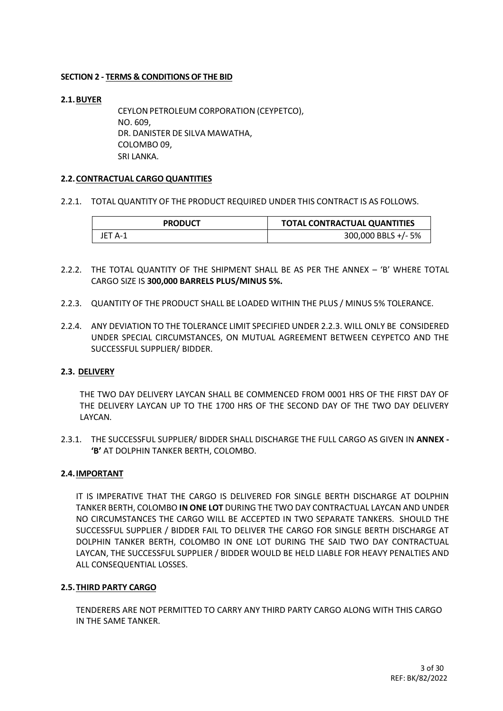#### **SECTION 2 - TERMS & CONDITIONSOF THE BID**

#### **2.1.BUYER**

CEYLONPETROLEUM CORPORATION (CEYPETCO), NO. 609, DR. DANISTER DE SILVA MAWATHA, COLOMBO 09, SRI LANKA.

#### **2.2.CONTRACTUAL CARGO QUANTITIES**

2.2.1. TOTAL QUANTITY OF THE PRODUCT REQUIRED UNDER THIS CONTRACT IS AS FOLLOWS.

| <b>PRODUCT</b> | <b>TOTAL CONTRACTUAL QUANTITIES</b> |
|----------------|-------------------------------------|
| JET A-1        | 300,000 BBLS +/- 5%                 |

- 2.2.2. THE TOTAL QUANTITY OF THE SHIPMENT SHALL BE AS PER THE ANNEX 'B' WHERE TOTAL CARGO SIZE IS **300,000 BARRELS PLUS/MINUS 5%.**
- 2.2.3. QUANTITY OF THE PRODUCT SHALL BE LOADED WITHIN THE PLUS / MINUS 5% TOLERANCE.
- 2.2.4. ANY DEVIATION TO THE TOLERANCE LIMIT SPECIFIED UNDER 2.2.3. WILL ONLY BE CONSIDERED UNDER SPECIAL CIRCUMSTANCES, ON MUTUAL AGREEMENT BETWEEN CEYPETCO AND THE SUCCESSFUL SUPPLIER/ BIDDER.

#### **2.3. DELIVERY**

THE TWO DAY DELIVERY LAYCAN SHALL BE COMMENCED FROM 0001 HRS OF THE FIRST DAY OF THE DELIVERY LAYCAN UP TO THE 1700 HRS OF THE SECOND DAY OF THE TWO DAY DELIVERY LAYCAN.

2.3.1. THE SUCCESSFUL SUPPLIER/ BIDDER SHALL DISCHARGE THE FULL CARGO AS GIVEN IN **ANNEX - 'B'** AT DOLPHIN TANKER BERTH, COLOMBO.

#### **2.4.IMPORTANT**

IT IS IMPERATIVE THAT THE CARGO IS DELIVERED FOR SINGLE BERTH DISCHARGE AT DOLPHIN TANKER BERTH, COLOMBO **IN ONE LOT** DURING THE TWO DAY CONTRACTUAL LAYCAN AND UNDER NO CIRCUMSTANCES THE CARGO WILL BE ACCEPTED IN TWO SEPARATE TANKERS. SHOULD THE SUCCESSFUL SUPPLIER / BIDDER FAIL TO DELIVER THE CARGO FOR SINGLE BERTH DISCHARGE AT DOLPHIN TANKER BERTH, COLOMBO IN ONE LOT DURING THE SAID TWO DAY CONTRACTUAL LAYCAN, THE SUCCESSFUL SUPPLIER / BIDDER WOULD BE HELD LIABLE FOR HEAVY PENALTIES AND ALL CONSEQUENTIAL LOSSES.

#### **2.5.THIRD PARTY CARGO**

TENDERERS ARE NOT PERMITTED TO CARRY ANY THIRD PARTY CARGO ALONG WITH THIS CARGO IN THE SAME TANKER.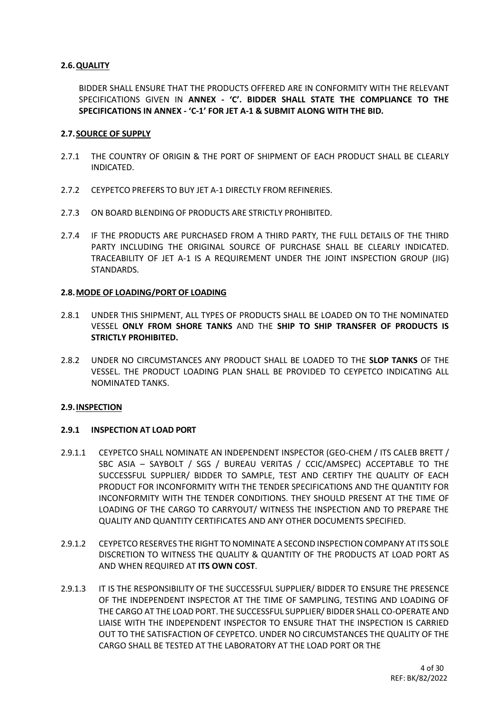#### **2.6.QUALITY**

BIDDER SHALL ENSURE THAT THE PRODUCTS OFFERED ARE IN CONFORMITY WITH THE RELEVANT SPECIFICATIONS GIVEN IN **ANNEX - 'C'. BIDDER SHALL STATE THE COMPLIANCE TO THE SPECIFICATIONS IN ANNEX - 'C-1' FOR JET A-1 & SUBMIT ALONG WITH THE BID.**

#### **2.7.SOURCE OF SUPPLY**

- 2.7.1 THE COUNTRY OF ORIGIN & THE PORT OF SHIPMENT OF EACH PRODUCT SHALL BE CLEARLY INDICATED.
- 2.7.2 CEYPETCO PREFERS TO BUY JET A-1 DIRECTLY FROM REFINERIES.
- 2.7.3 ON BOARD BLENDING OF PRODUCTS ARE STRICTLY PROHIBITED.
- 2.7.4 IF THE PRODUCTS ARE PURCHASED FROM A THIRD PARTY, THE FULL DETAILS OF THE THIRD PARTY INCLUDING THE ORIGINAL SOURCE OF PURCHASE SHALL BE CLEARLY INDICATED. TRACEABILITY OF JET A-1 IS A REQUIREMENT UNDER THE JOINT INSPECTION GROUP (JIG) STANDARDS.

#### **2.8.MODE OF LOADING/PORT OF LOADING**

- 2.8.1 UNDER THIS SHIPMENT, ALL TYPES OF PRODUCTS SHALL BE LOADED ON TO THE NOMINATED VESSEL **ONLY FROM SHORE TANKS** AND THE **SHIP TO SHIP TRANSFER OF PRODUCTS IS STRICTLY PROHIBITED.**
- 2.8.2 UNDER NO CIRCUMSTANCES ANY PRODUCT SHALL BE LOADED TO THE **SLOP TANKS** OF THE VESSEL. THE PRODUCT LOADING PLAN SHALL BE PROVIDED TO CEYPETCO INDICATING ALL NOMINATED TANKS.

#### **2.9.INSPECTION**

#### **2.9.1 INSPECTION AT LOAD PORT**

- 2.9.1.1 CEYPETCO SHALL NOMINATE AN INDEPENDENT INSPECTOR (GEO-CHEM / ITS CALEB BRETT / SBC ASIA – SAYBOLT / SGS / BUREAU VERITAS / CCIC/AMSPEC) ACCEPTABLE TO THE SUCCESSFUL SUPPLIER/ BIDDER TO SAMPLE, TEST AND CERTIFY THE QUALITY OF EACH PRODUCT FOR INCONFORMITY WITH THE TENDER SPECIFICATIONS AND THE QUANTITY FOR INCONFORMITY WITH THE TENDER CONDITIONS. THEY SHOULD PRESENT AT THE TIME OF LOADING OF THE CARGO TO CARRYOUT/ WITNESS THE INSPECTION AND TO PREPARE THE QUALITY AND QUANTITY CERTIFICATES AND ANY OTHER DOCUMENTS SPECIFIED.
- 2.9.1.2 CEYPETCO RESERVES THE RIGHT TO NOMINATE A SECOND INSPECTION COMPANY AT ITS SOLE DISCRETION TO WITNESS THE QUALITY & QUANTITY OF THE PRODUCTS AT LOAD PORT AS AND WHEN REQUIRED AT **ITS OWN COST**.
- 2.9.1.3 IT IS THE RESPONSIBILITY OF THE SUCCESSFUL SUPPLIER/ BIDDER TO ENSURE THE PRESENCE OF THE INDEPENDENT INSPECTOR AT THE TIME OF SAMPLING, TESTING AND LOADING OF THE CARGO AT THE LOAD PORT. THE SUCCESSFUL SUPPLIER/ BIDDER SHALL CO-OPERATE AND LIAISE WITH THE INDEPENDENT INSPECTOR TO ENSURE THAT THE INSPECTION IS CARRIED OUT TO THE SATISFACTION OF CEYPETCO. UNDER NO CIRCUMSTANCES THE QUALITY OF THE CARGO SHALL BE TESTED AT THE LABORATORY AT THE LOAD PORT OR THE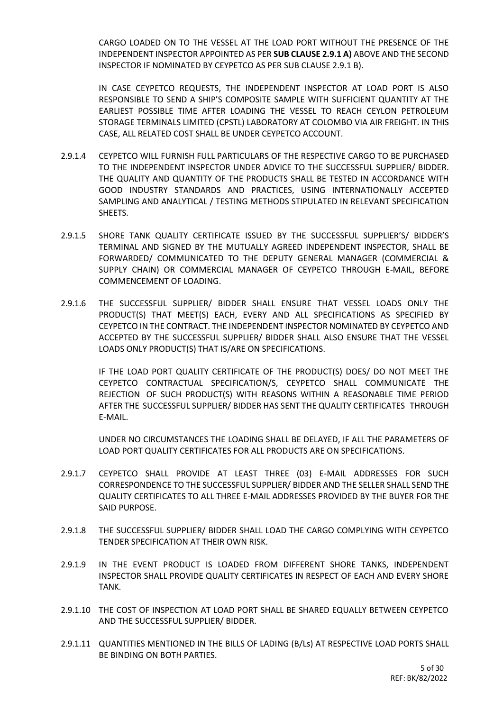CARGO LOADED ON TO THE VESSEL AT THE LOAD PORT WITHOUT THE PRESENCE OF THE INDEPENDENT INSPECTOR APPOINTED AS PER **SUB CLAUSE 2.9.1 A)** ABOVE AND THE SECOND INSPECTOR IF NOMINATED BY CEYPETCO AS PER SUB CLAUSE 2.9.1 B).

IN CASE CEYPETCO REQUESTS, THE INDEPENDENT INSPECTOR AT LOAD PORT IS ALSO RESPONSIBLE TO SEND A SHIP'S COMPOSITE SAMPLE WITH SUFFICIENT QUANTITY AT THE EARLIEST POSSIBLE TIME AFTER LOADING THE VESSEL TO REACH CEYLON PETROLEUM STORAGE TERMINALS LIMITED (CPSTL) LABORATORY AT COLOMBO VIA AIR FREIGHT. IN THIS CASE, ALL RELATED COST SHALL BE UNDER CEYPETCO ACCOUNT.

- 2.9.1.4 CEYPETCO WILL FURNISH FULL PARTICULARS OF THE RESPECTIVE CARGO TO BE PURCHASED TO THE INDEPENDENT INSPECTOR UNDER ADVICE TO THE SUCCESSFUL SUPPLIER/ BIDDER. THE QUALITY AND QUANTITY OF THE PRODUCTS SHALL BE TESTED IN ACCORDANCE WITH GOOD INDUSTRY STANDARDS AND PRACTICES, USING INTERNATIONALLY ACCEPTED SAMPLING AND ANALYTICAL / TESTING METHODS STIPULATED IN RELEVANT SPECIFICATION SHEETS.
- 2.9.1.5 SHORE TANK QUALITY CERTIFICATE ISSUED BY THE SUCCESSFUL SUPPLIER'S/ BIDDER'S TERMINAL AND SIGNED BY THE MUTUALLY AGREED INDEPENDENT INSPECTOR, SHALL BE FORWARDED/ COMMUNICATED TO THE DEPUTY GENERAL MANAGER (COMMERCIAL & SUPPLY CHAIN) OR COMMERCIAL MANAGER OF CEYPETCO THROUGH E-MAIL, BEFORE COMMENCEMENT OF LOADING.
- 2.9.1.6 THE SUCCESSFUL SUPPLIER/ BIDDER SHALL ENSURE THAT VESSEL LOADS ONLY THE PRODUCT(S) THAT MEET(S) EACH, EVERY AND ALL SPECIFICATIONS AS SPECIFIED BY CEYPETCO IN THE CONTRACT. THE INDEPENDENT INSPECTOR NOMINATED BY CEYPETCO AND ACCEPTED BY THE SUCCESSFUL SUPPLIER/ BIDDER SHALL ALSO ENSURE THAT THE VESSEL LOADS ONLY PRODUCT(S) THAT IS/ARE ON SPECIFICATIONS.

IF THE LOAD PORT QUALITY CERTIFICATE OF THE PRODUCT(S) DOES/ DO NOT MEET THE CEYPETCO CONTRACTUAL SPECIFICATION/S, CEYPETCO SHALL COMMUNICATE THE REJECTION OF SUCH PRODUCT(S) WITH REASONS WITHIN A REASONABLE TIME PERIOD AFTER THE SUCCESSFUL SUPPLIER/ BIDDER HAS SENT THE QUALITY CERTIFICATES THROUGH E-MAIL.

UNDER NO CIRCUMSTANCES THE LOADING SHALL BE DELAYED, IF ALL THE PARAMETERS OF LOAD PORT QUALITY CERTIFICATES FOR ALL PRODUCTS ARE ON SPECIFICATIONS.

- 2.9.1.7 CEYPETCO SHALL PROVIDE AT LEAST THREE (03) E-MAIL ADDRESSES FOR SUCH CORRESPONDENCE TO THE SUCCESSFUL SUPPLIER/ BIDDER AND THE SELLER SHALL SEND THE QUALITY CERTIFICATES TO ALL THREE E-MAIL ADDRESSES PROVIDED BY THE BUYER FOR THE SAID PURPOSE.
- 2.9.1.8 THE SUCCESSFUL SUPPLIER/ BIDDER SHALL LOAD THE CARGO COMPLYING WITH CEYPETCO TENDER SPECIFICATION AT THEIR OWN RISK.
- 2.9.1.9 IN THE EVENT PRODUCT IS LOADED FROM DIFFERENT SHORE TANKS, INDEPENDENT INSPECTOR SHALL PROVIDE QUALITY CERTIFICATES IN RESPECT OF EACH AND EVERY SHORE TANK.
- 2.9.1.10 THE COST OF INSPECTION AT LOAD PORT SHALL BE SHARED EQUALLY BETWEEN CEYPETCO AND THE SUCCESSFUL SUPPLIER/ BIDDER.
- 2.9.1.11 QUANTITIES MENTIONED IN THE BILLS OF LADING (B/Ls) AT RESPECTIVE LOAD PORTS SHALL BE BINDING ON BOTH PARTIES.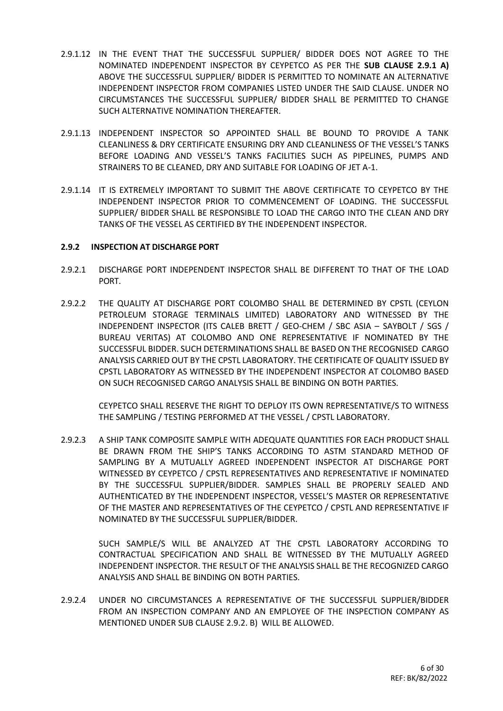- 2.9.1.12 IN THE EVENT THAT THE SUCCESSFUL SUPPLIER/ BIDDER DOES NOT AGREE TO THE NOMINATED INDEPENDENT INSPECTOR BY CEYPETCO AS PER THE **SUB CLAUSE 2.9.1 A)**  ABOVE THE SUCCESSFUL SUPPLIER/ BIDDER IS PERMITTED TO NOMINATE AN ALTERNATIVE INDEPENDENT INSPECTOR FROM COMPANIES LISTED UNDER THE SAID CLAUSE. UNDER NO CIRCUMSTANCES THE SUCCESSFUL SUPPLIER/ BIDDER SHALL BE PERMITTED TO CHANGE SUCH ALTERNATIVE NOMINATION THEREAFTER.
- 2.9.1.13 INDEPENDENT INSPECTOR SO APPOINTED SHALL BE BOUND TO PROVIDE A TANK CLEANLINESS & DRY CERTIFICATE ENSURING DRY AND CLEANLINESS OF THE VESSEL'S TANKS BEFORE LOADING AND VESSEL'S TANKS FACILITIES SUCH AS PIPELINES, PUMPS AND STRAINERS TO BE CLEANED, DRY AND SUITABLE FOR LOADING OF JET A-1.
- 2.9.1.14 IT IS EXTREMELY IMPORTANT TO SUBMIT THE ABOVE CERTIFICATE TO CEYPETCO BY THE INDEPENDENT INSPECTOR PRIOR TO COMMENCEMENT OF LOADING. THE SUCCESSFUL SUPPLIER/ BIDDER SHALL BE RESPONSIBLE TO LOAD THE CARGO INTO THE CLEAN AND DRY TANKS OF THE VESSEL AS CERTIFIED BY THE INDEPENDENT INSPECTOR.

#### **2.9.2 INSPECTION AT DISCHARGE PORT**

- 2.9.2.1 DISCHARGE PORT INDEPENDENT INSPECTOR SHALL BE DIFFERENT TO THAT OF THE LOAD PORT.
- 2.9.2.2 THE QUALITY AT DISCHARGE PORT COLOMBO SHALL BE DETERMINED BY CPSTL (CEYLON PETROLEUM STORAGE TERMINALS LIMITED) LABORATORY AND WITNESSED BY THE INDEPENDENT INSPECTOR (ITS CALEB BRETT / GEO-CHEM / SBC ASIA – SAYBOLT / SGS / BUREAU VERITAS) AT COLOMBO AND ONE REPRESENTATIVE IF NOMINATED BY THE SUCCESSFUL BIDDER. SUCH DETERMINATIONS SHALL BE BASED ON THE RECOGNISED CARGO ANALYSIS CARRIED OUT BY THE CPSTL LABORATORY. THE CERTIFICATE OF QUALITY ISSUED BY CPSTL LABORATORY AS WITNESSED BY THE INDEPENDENT INSPECTOR AT COLOMBO BASED ON SUCH RECOGNISED CARGO ANALYSIS SHALL BE BINDING ON BOTH PARTIES.

CEYPETCO SHALL RESERVE THE RIGHT TO DEPLOY ITS OWN REPRESENTATIVE/S TO WITNESS THE SAMPLING / TESTING PERFORMED AT THE VESSEL / CPSTL LABORATORY.

2.9.2.3 A SHIP TANK COMPOSITE SAMPLE WITH ADEQUATE QUANTITIES FOR EACH PRODUCT SHALL BE DRAWN FROM THE SHIP'S TANKS ACCORDING TO ASTM STANDARD METHOD OF SAMPLING BY A MUTUALLY AGREED INDEPENDENT INSPECTOR AT DISCHARGE PORT WITNESSED BY CEYPETCO / CPSTL REPRESENTATIVES AND REPRESENTATIVE IF NOMINATED BY THE SUCCESSFUL SUPPLIER/BIDDER. SAMPLES SHALL BE PROPERLY SEALED AND AUTHENTICATED BY THE INDEPENDENT INSPECTOR, VESSEL'S MASTER OR REPRESENTATIVE OF THE MASTER AND REPRESENTATIVES OF THE CEYPETCO / CPSTL AND REPRESENTATIVE IF NOMINATED BY THE SUCCESSFUL SUPPLIER/BIDDER.

SUCH SAMPLE/S WILL BE ANALYZED AT THE CPSTL LABORATORY ACCORDING TO CONTRACTUAL SPECIFICATION AND SHALL BE WITNESSED BY THE MUTUALLY AGREED INDEPENDENT INSPECTOR. THE RESULT OF THE ANALYSIS SHALL BE THE RECOGNIZED CARGO ANALYSIS AND SHALL BE BINDING ON BOTH PARTIES.

2.9.2.4 UNDER NO CIRCUMSTANCES A REPRESENTATIVE OF THE SUCCESSFUL SUPPLIER/BIDDER FROM AN INSPECTION COMPANY AND AN EMPLOYEE OF THE INSPECTION COMPANY AS MENTIONED UNDER SUB CLAUSE 2.9.2. B) WILL BE ALLOWED.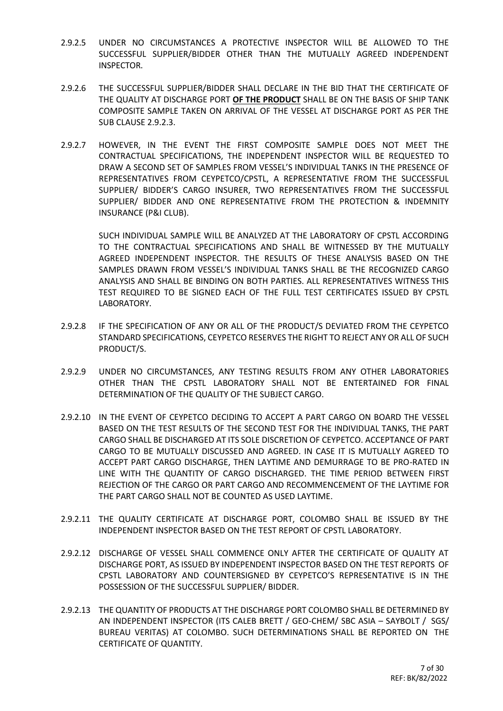- 2.9.2.5 UNDER NO CIRCUMSTANCES A PROTECTIVE INSPECTOR WILL BE ALLOWED TO THE SUCCESSFUL SUPPLIER/BIDDER OTHER THAN THE MUTUALLY AGREED INDEPENDENT INSPECTOR.
- 2.9.2.6 THE SUCCESSFUL SUPPLIER/BIDDER SHALL DECLARE IN THE BID THAT THE CERTIFICATE OF THE QUALITY AT DISCHARGE PORT **OF THE PRODUCT** SHALL BE ON THE BASIS OF SHIP TANK COMPOSITE SAMPLE TAKEN ON ARRIVAL OF THE VESSEL AT DISCHARGE PORT AS PER THE SUB CLAUSE 2.9.2.3.
- 2.9.2.7 HOWEVER, IN THE EVENT THE FIRST COMPOSITE SAMPLE DOES NOT MEET THE CONTRACTUAL SPECIFICATIONS, THE INDEPENDENT INSPECTOR WILL BE REQUESTED TO DRAW A SECOND SET OF SAMPLES FROM VESSEL'S INDIVIDUAL TANKS IN THE PRESENCE OF REPRESENTATIVES FROM CEYPETCO/CPSTL, A REPRESENTATIVE FROM THE SUCCESSFUL SUPPLIER/ BIDDER'S CARGO INSURER, TWO REPRESENTATIVES FROM THE SUCCESSFUL SUPPLIER/ BIDDER AND ONE REPRESENTATIVE FROM THE PROTECTION & INDEMNITY INSURANCE (P&I CLUB).

SUCH INDIVIDUAL SAMPLE WILL BE ANALYZED AT THE LABORATORY OF CPSTL ACCORDING TO THE CONTRACTUAL SPECIFICATIONS AND SHALL BE WITNESSED BY THE MUTUALLY AGREED INDEPENDENT INSPECTOR. THE RESULTS OF THESE ANALYSIS BASED ON THE SAMPLES DRAWN FROM VESSEL'S INDIVIDUAL TANKS SHALL BE THE RECOGNIZED CARGO ANALYSIS AND SHALL BE BINDING ON BOTH PARTIES. ALL REPRESENTATIVES WITNESS THIS TEST REQUIRED TO BE SIGNED EACH OF THE FULL TEST CERTIFICATES ISSUED BY CPSTL LABORATORY.

- 2.9.2.8 IF THE SPECIFICATION OF ANY OR ALL OF THE PRODUCT/S DEVIATED FROM THE CEYPETCO STANDARD SPECIFICATIONS, CEYPETCO RESERVES THE RIGHT TO REJECT ANY OR ALL OF SUCH PRODUCT/S.
- 2.9.2.9 UNDER NO CIRCUMSTANCES, ANY TESTING RESULTS FROM ANY OTHER LABORATORIES OTHER THAN THE CPSTL LABORATORY SHALL NOT BE ENTERTAINED FOR FINAL DETERMINATION OF THE QUALITY OF THE SUBJECT CARGO.
- 2.9.2.10 IN THE EVENT OF CEYPETCO DECIDING TO ACCEPT A PART CARGO ON BOARD THE VESSEL BASED ON THE TEST RESULTS OF THE SECOND TEST FOR THE INDIVIDUAL TANKS, THE PART CARGO SHALL BE DISCHARGED AT ITS SOLE DISCRETION OF CEYPETCO. ACCEPTANCE OF PART CARGO TO BE MUTUALLY DISCUSSED AND AGREED. IN CASE IT IS MUTUALLY AGREED TO ACCEPT PART CARGO DISCHARGE, THEN LAYTIME AND DEMURRAGE TO BE PRO-RATED IN LINE WITH THE QUANTITY OF CARGO DISCHARGED. THE TIME PERIOD BETWEEN FIRST REJECTION OF THE CARGO OR PART CARGO AND RECOMMENCEMENT OF THE LAYTIME FOR THE PART CARGO SHALL NOT BE COUNTED AS USED LAYTIME.
- 2.9.2.11 THE QUALITY CERTIFICATE AT DISCHARGE PORT, COLOMBO SHALL BE ISSUED BY THE INDEPENDENT INSPECTOR BASED ON THE TEST REPORT OF CPSTL LABORATORY.
- 2.9.2.12 DISCHARGE OF VESSEL SHALL COMMENCE ONLY AFTER THE CERTIFICATE OF QUALITY AT DISCHARGE PORT, AS ISSUED BY INDEPENDENT INSPECTOR BASED ON THE TEST REPORTS OF CPSTL LABORATORY AND COUNTERSIGNED BY CEYPETCO'S REPRESENTATIVE IS IN THE POSSESSION OF THE SUCCESSFUL SUPPLIER/ BIDDER.
- 2.9.2.13 THE QUANTITY OF PRODUCTS AT THE DISCHARGE PORT COLOMBO SHALL BE DETERMINED BY AN INDEPENDENT INSPECTOR (ITS CALEB BRETT / GEO-CHEM/ SBC ASIA – SAYBOLT / SGS/ BUREAU VERITAS) AT COLOMBO. SUCH DETERMINATIONS SHALL BE REPORTED ON THE CERTIFICATE OF QUANTITY.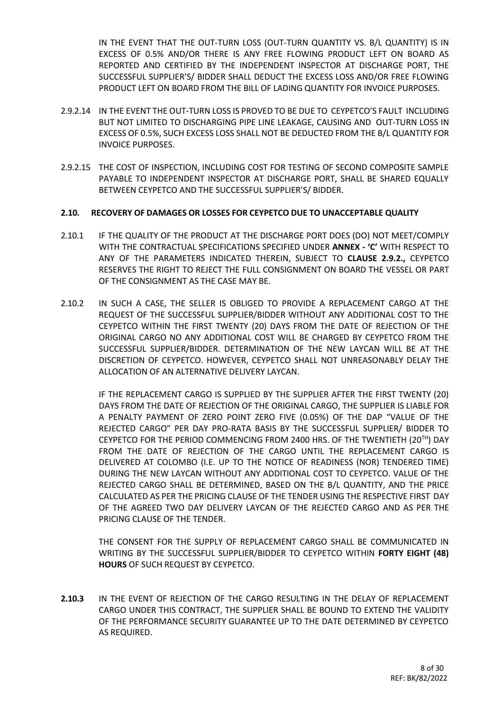IN THE EVENT THAT THE OUT-TURN LOSS (OUT-TURN QUANTITY VS. B/L QUANTITY) IS IN EXCESS OF 0.5% AND/OR THERE IS ANY FREE FLOWING PRODUCT LEFT ON BOARD AS REPORTED AND CERTIFIED BY THE INDEPENDENT INSPECTOR AT DISCHARGE PORT, THE SUCCESSFUL SUPPLIER'S/ BIDDER SHALL DEDUCT THE EXCESS LOSS AND/OR FREE FLOWING PRODUCT LEFT ON BOARD FROM THE BILL OF LADING QUANTITY FOR INVOICE PURPOSES.

- 2.9.2.14 IN THE EVENT THE OUT-TURN LOSS IS PROVED TO BE DUE TO CEYPETCO'S FAULT INCLUDING BUT NOT LIMITED TO DISCHARGING PIPE LINE LEAKAGE, CAUSING AND OUT-TURN LOSS IN EXCESS OF 0.5%, SUCH EXCESS LOSS SHALL NOT BE DEDUCTED FROM THE B/L QUANTITY FOR INVOICE PURPOSES.
- 2.9.2.15 THE COST OF INSPECTION, INCLUDING COST FOR TESTING OF SECOND COMPOSITE SAMPLE PAYABLE TO INDEPENDENT INSPECTOR AT DISCHARGE PORT, SHALL BE SHARED EQUALLY BETWEEN CEYPETCO AND THE SUCCESSFUL SUPPLIER'S/ BIDDER.

#### **2.10. RECOVERY OF DAMAGES OR LOSSES FOR CEYPETCO DUE TO UNACCEPTABLE QUALITY**

- 2.10.1 IF THE QUALITY OF THE PRODUCT AT THE DISCHARGE PORT DOES (DO) NOT MEET/COMPLY WITH THE CONTRACTUAL SPECIFICATIONS SPECIFIED UNDER **ANNEX - 'C'** WITH RESPECT TO ANY OF THE PARAMETERS INDICATED THEREIN, SUBJECT TO **CLAUSE 2.9.2.,** CEYPETCO RESERVES THE RIGHT TO REJECT THE FULL CONSIGNMENT ON BOARD THE VESSEL OR PART OF THE CONSIGNMENT AS THE CASE MAY BE.
- 2.10.2 IN SUCH A CASE, THE SELLER IS OBLIGED TO PROVIDE A REPLACEMENT CARGO AT THE REQUEST OF THE SUCCESSFUL SUPPLIER/BIDDER WITHOUT ANY ADDITIONAL COST TO THE CEYPETCO WITHIN THE FIRST TWENTY (20) DAYS FROM THE DATE OF REJECTION OF THE ORIGINAL CARGO NO ANY ADDITIONAL COST WILL BE CHARGED BY CEYPETCO FROM THE SUCCESSFUL SUPPLIER/BIDDER. DETERMINATION OF THE NEW LAYCAN WILL BE AT THE DISCRETION OF CEYPETCO. HOWEVER, CEYPETCO SHALL NOT UNREASONABLY DELAY THE ALLOCATION OF AN ALTERNATIVE DELIVERY LAYCAN.

IF THE REPLACEMENT CARGO IS SUPPLIED BY THE SUPPLIER AFTER THE FIRST TWENTY (20) DAYS FROM THE DATE OF REJECTION OF THE ORIGINAL CARGO, THE SUPPLIER IS LIABLE FOR A PENALTY PAYMENT OF ZERO POINT ZERO FIVE (0.05%) OF THE DAP "VALUE OF THE REJECTED CARGO" PER DAY PRO-RATA BASIS BY THE SUCCESSFUL SUPPLIER/ BIDDER TO CEYPETCO FOR THE PERIOD COMMENCING FROM 2400 HRS. OF THE TWENTIETH (20TH) DAY FROM THE DATE OF REJECTION OF THE CARGO UNTIL THE REPLACEMENT CARGO IS DELIVERED AT COLOMBO (I.E. UP TO THE NOTICE OF READINESS (NOR) TENDERED TIME) DURING THE NEW LAYCAN WITHOUT ANY ADDITIONAL COST TO CEYPETCO. VALUE OF THE REJECTED CARGO SHALL BE DETERMINED, BASED ON THE B/L QUANTITY, AND THE PRICE CALCULATED AS PER THE PRICING CLAUSE OF THE TENDER USING THE RESPECTIVE FIRST DAY OF THE AGREED TWO DAY DELIVERY LAYCAN OF THE REJECTED CARGO AND AS PER THE PRICING CLAUSE OF THE TENDER.

THE CONSENT FOR THE SUPPLY OF REPLACEMENT CARGO SHALL BE COMMUNICATED IN WRITING BY THE SUCCESSFUL SUPPLIER/BIDDER TO CEYPETCO WITHIN **FORTY EIGHT (48) HOURS** OF SUCH REQUEST BY CEYPETCO.

**2.10.3** IN THE EVENT OF REJECTION OF THE CARGO RESULTING IN THE DELAY OF REPLACEMENT CARGO UNDER THIS CONTRACT, THE SUPPLIER SHALL BE BOUND TO EXTEND THE VALIDITY OF THE PERFORMANCE SECURITY GUARANTEE UP TO THE DATE DETERMINED BY CEYPETCO AS REQUIRED.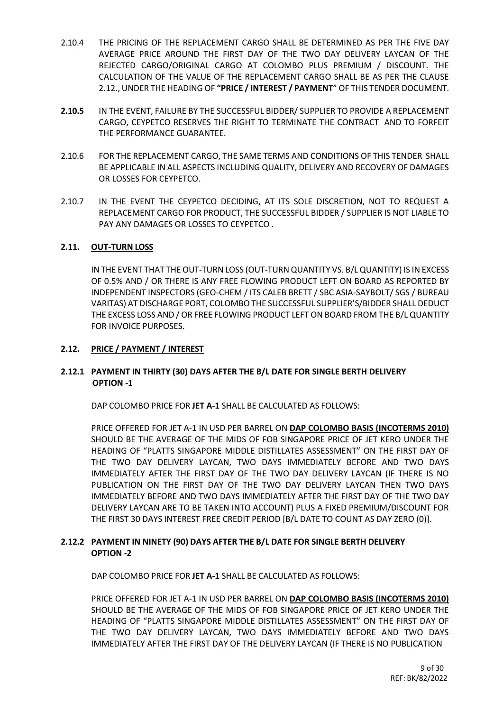- 2.10.4 THE PRICING OF THE REPLACEMENT CARGO SHALL BE DETERMINED AS PER THE FIVE DAY AVERAGE PRICE AROUND THE FIRST DAY OF THE TWO DAY DELIVERY LAYCAN OF THE REJECTED CARGO/ORIGINAL CARGO AT COLOMBO PLUS PREMIUM / DISCOUNT. THE CALCULATION OF THE VALUE OF THE REPLACEMENT CARGO SHALL BE AS PER THE CLAUSE 2.12., UNDER THE HEADING OF **"PRICE / INTEREST / PAYMENT**" OF THIS TENDER DOCUMENT.
- **2.10.5** IN THE EVENT, FAILURE BY THE SUCCESSFUL BIDDER/ SUPPLIER TO PROVIDE A REPLACEMENT CARGO, CEYPETCO RESERVES THE RIGHT TO TERMINATE THE CONTRACT AND TO FORFEIT THE PERFORMANCE GUARANTEE.
- 2.10.6 FOR THE REPLACEMENT CARGO, THE SAME TERMS AND CONDITIONS OF THIS TENDER SHALL BE APPLICABLE IN ALL ASPECTS INCLUDING QUALITY, DELIVERY AND RECOVERY OF DAMAGES OR LOSSES FOR CEYPETCO.
- 2.10.7 IN THE EVENT THE CEYPETCO DECIDING, AT ITS SOLE DISCRETION, NOT TO REQUEST A REPLACEMENT CARGO FOR PRODUCT, THE SUCCESSFUL BIDDER / SUPPLIER IS NOT LIABLE TO PAY ANY DAMAGES OR LOSSES TO CEYPETCO .

#### **2.11. OUT-TURN LOSS**

IN THE EVENT THAT THE OUT-TURN LOSS (OUT-TURN QUANTITY VS. B/L QUANTITY) IS IN EXCESS OF 0.5% AND / OR THERE IS ANY FREE FLOWING PRODUCT LEFT ON BOARD AS REPORTED BY INDEPENDENT INSPECTORS (GEO-CHEM / ITS CALEB BRETT / SBC ASIA-SAYBOLT/ SGS / BUREAU VARITAS) AT DISCHARGE PORT, COLOMBO THE SUCCESSFUL SUPPLIER'S/BIDDER SHALL DEDUCT THE EXCESS LOSS AND / OR FREE FLOWING PRODUCT LEFT ON BOARD FROM THE B/L QUANTITY FOR INVOICE PURPOSES.

#### **2.12. PRICE / PAYMENT / INTEREST**

#### **2.12.1 PAYMENT IN THIRTY (30) DAYS AFTER THE B/L DATE FOR SINGLE BERTH DELIVERY OPTION -1**

DAP COLOMBO PRICE FOR **JET A-1** SHALL BE CALCULATED AS FOLLOWS:

PRICE OFFERED FOR JET A-1 IN USD PER BARREL ON **DAP COLOMBO BASIS (INCOTERMS 2010)** SHOULD BE THE AVERAGE OF THE MIDS OF FOB SINGAPORE PRICE OF JET KERO UNDER THE HEADING OF "PLATTS SINGAPORE MIDDLE DISTILLATES ASSESSMENT" ON THE FIRST DAY OF THE TWO DAY DELIVERY LAYCAN, TWO DAYS IMMEDIATELY BEFORE AND TWO DAYS IMMEDIATELY AFTER THE FIRST DAY OF THE TWO DAY DELIVERY LAYCAN (IF THERE IS NO PUBLICATION ON THE FIRST DAY OF THE TWO DAY DELIVERY LAYCAN THEN TWO DAYS IMMEDIATELY BEFORE AND TWO DAYS IMMEDIATELY AFTER THE FIRST DAY OF THE TWO DAY DELIVERY LAYCAN ARE TO BE TAKEN INTO ACCOUNT) PLUS A FIXED PREMIUM/DISCOUNT FOR THE FIRST 30 DAYS INTEREST FREE CREDIT PERIOD [B/L DATE TO COUNT AS DAY ZERO (0)].

#### **2.12.2 PAYMENT IN NINETY (90) DAYS AFTER THE B/L DATE FOR SINGLE BERTH DELIVERY OPTION -2**

DAP COLOMBO PRICE FOR **JET A-1** SHALL BE CALCULATED AS FOLLOWS:

PRICE OFFERED FOR JET A-1 IN USD PER BARREL ON **DAP COLOMBO BASIS (INCOTERMS 2010)** SHOULD BE THE AVERAGE OF THE MIDS OF FOB SINGAPORE PRICE OF JET KERO UNDER THE HEADING OF "PLATTS SINGAPORE MIDDLE DISTILLATES ASSESSMENT" ON THE FIRST DAY OF THE TWO DAY DELIVERY LAYCAN, TWO DAYS IMMEDIATELY BEFORE AND TWO DAYS IMMEDIATELY AFTER THE FIRST DAY OF THE DELIVERY LAYCAN (IF THERE IS NO PUBLICATION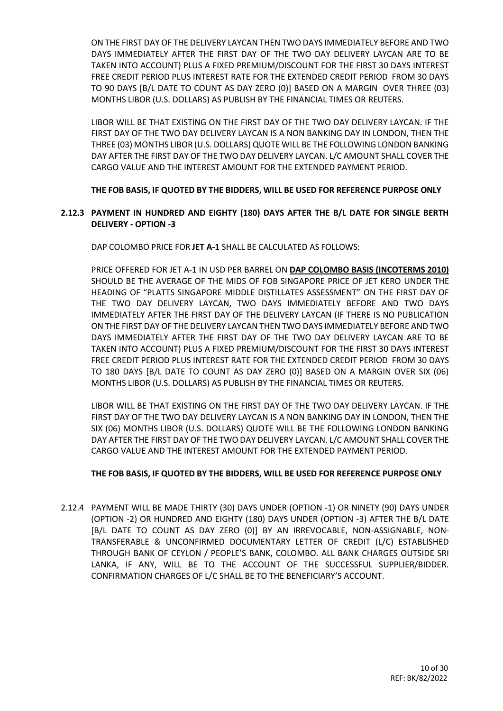ON THE FIRST DAY OF THE DELIVERY LAYCAN THEN TWO DAYS IMMEDIATELY BEFORE AND TWO DAYS IMMEDIATELY AFTER THE FIRST DAY OF THE TWO DAY DELIVERY LAYCAN ARE TO BE TAKEN INTO ACCOUNT) PLUS A FIXED PREMIUM/DISCOUNT FOR THE FIRST 30 DAYS INTEREST FREE CREDIT PERIOD PLUS INTEREST RATE FOR THE EXTENDED CREDIT PERIOD FROM 30 DAYS TO 90 DAYS [B/L DATE TO COUNT AS DAY ZERO (0)] BASED ON A MARGIN OVER THREE (03) MONTHS LIBOR (U.S. DOLLARS) AS PUBLISH BY THE FINANCIAL TIMES OR REUTERS.

LIBOR WILL BE THAT EXISTING ON THE FIRST DAY OF THE TWO DAY DELIVERY LAYCAN. IF THE FIRST DAY OF THE TWO DAY DELIVERY LAYCAN IS A NON BANKING DAY IN LONDON, THEN THE THREE (03) MONTHS LIBOR (U.S. DOLLARS) QUOTE WILL BE THE FOLLOWING LONDON BANKING DAY AFTER THE FIRST DAY OF THE TWO DAY DELIVERY LAYCAN. L/C AMOUNT SHALL COVER THE CARGO VALUE AND THE INTEREST AMOUNT FOR THE EXTENDED PAYMENT PERIOD.

**THE FOB BASIS, IF QUOTED BY THE BIDDERS, WILL BE USED FOR REFERENCE PURPOSE ONLY**

#### **2.12.3 PAYMENT IN HUNDRED AND EIGHTY (180) DAYS AFTER THE B/L DATE FOR SINGLE BERTH DELIVERY - OPTION -3**

DAP COLOMBO PRICE FOR **JET A-1** SHALL BE CALCULATED AS FOLLOWS:

PRICE OFFERED FOR JET A-1 IN USD PER BARREL ON **DAP COLOMBO BASIS (INCOTERMS 2010)** SHOULD BE THE AVERAGE OF THE MIDS OF FOB SINGAPORE PRICE OF JET KERO UNDER THE HEADING OF "PLATTS SINGAPORE MIDDLE DISTILLATES ASSESSMENT" ON THE FIRST DAY OF THE TWO DAY DELIVERY LAYCAN, TWO DAYS IMMEDIATELY BEFORE AND TWO DAYS IMMEDIATELY AFTER THE FIRST DAY OF THE DELIVERY LAYCAN (IF THERE IS NO PUBLICATION ON THE FIRST DAY OF THE DELIVERY LAYCAN THEN TWO DAYS IMMEDIATELY BEFORE AND TWO DAYS IMMEDIATELY AFTER THE FIRST DAY OF THE TWO DAY DELIVERY LAYCAN ARE TO BE TAKEN INTO ACCOUNT) PLUS A FIXED PREMIUM/DISCOUNT FOR THE FIRST 30 DAYS INTEREST FREE CREDIT PERIOD PLUS INTEREST RATE FOR THE EXTENDED CREDIT PERIOD FROM 30 DAYS TO 180 DAYS [B/L DATE TO COUNT AS DAY ZERO (0)] BASED ON A MARGIN OVER SIX (06) MONTHS LIBOR (U.S. DOLLARS) AS PUBLISH BY THE FINANCIAL TIMES OR REUTERS.

LIBOR WILL BE THAT EXISTING ON THE FIRST DAY OF THE TWO DAY DELIVERY LAYCAN. IF THE FIRST DAY OF THE TWO DAY DELIVERY LAYCAN IS A NON BANKING DAY IN LONDON, THEN THE SIX (06) MONTHS LIBOR (U.S. DOLLARS) QUOTE WILL BE THE FOLLOWING LONDON BANKING DAY AFTER THE FIRST DAY OF THE TWO DAY DELIVERY LAYCAN. L/C AMOUNT SHALL COVER THE CARGO VALUE AND THE INTEREST AMOUNT FOR THE EXTENDED PAYMENT PERIOD.

#### **THE FOB BASIS, IF QUOTED BY THE BIDDERS, WILL BE USED FOR REFERENCE PURPOSE ONLY**

2.12.4 PAYMENT WILL BE MADE THIRTY (30) DAYS UNDER (OPTION -1) OR NINETY (90) DAYS UNDER (OPTION -2) OR HUNDRED AND EIGHTY (180) DAYS UNDER (OPTION -3) AFTER THE B/L DATE [B/L DATE TO COUNT AS DAY ZERO (0)] BY AN IRREVOCABLE, NON-ASSIGNABLE, NON-TRANSFERABLE & UNCONFIRMED DOCUMENTARY LETTER OF CREDIT (L/C) ESTABLISHED THROUGH BANK OF CEYLON / PEOPLE'S BANK, COLOMBO. ALL BANK CHARGES OUTSIDE SRI LANKA, IF ANY, WILL BE TO THE ACCOUNT OF THE SUCCESSFUL SUPPLIER/BIDDER. CONFIRMATION CHARGES OF L/C SHALL BE TO THE BENEFICIARY'S ACCOUNT.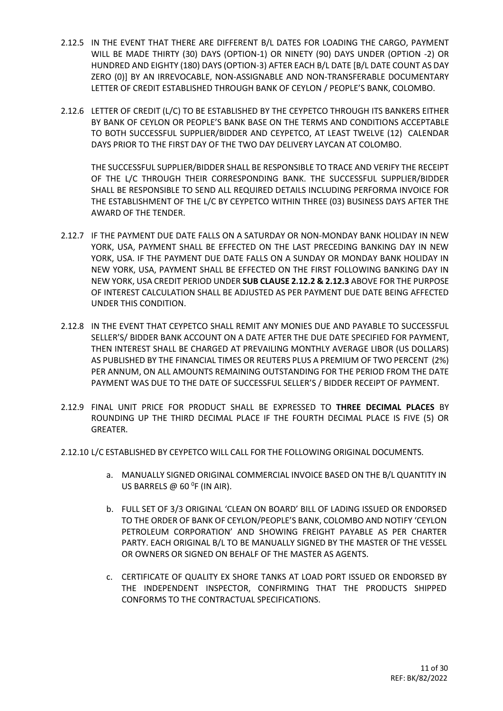- 2.12.5 IN THE EVENT THAT THERE ARE DIFFERENT B/L DATES FOR LOADING THE CARGO, PAYMENT WILL BE MADE THIRTY (30) DAYS (OPTION-1) OR NINETY (90) DAYS UNDER (OPTION -2) OR HUNDRED AND EIGHTY (180) DAYS (OPTION-3) AFTER EACH B/L DATE [B/L DATE COUNT AS DAY ZERO (0)] BY AN IRREVOCABLE, NON-ASSIGNABLE AND NON-TRANSFERABLE DOCUMENTARY LETTER OF CREDIT ESTABLISHED THROUGH BANK OF CEYLON / PEOPLE'S BANK, COLOMBO.
- 2.12.6 LETTER OF CREDIT (L/C) TO BE ESTABLISHED BY THE CEYPETCO THROUGH ITS BANKERS EITHER BY BANK OF CEYLON OR PEOPLE'S BANK BASE ON THE TERMS AND CONDITIONS ACCEPTABLE TO BOTH SUCCESSFUL SUPPLIER/BIDDER AND CEYPETCO, AT LEAST TWELVE (12) CALENDAR DAYS PRIOR TO THE FIRST DAY OF THE TWO DAY DELIVERY LAYCAN AT COLOMBO.

THE SUCCESSFUL SUPPLIER/BIDDER SHALL BE RESPONSIBLE TO TRACE AND VERIFY THE RECEIPT OF THE L/C THROUGH THEIR CORRESPONDING BANK. THE SUCCESSFUL SUPPLIER/BIDDER SHALL BE RESPONSIBLE TO SEND ALL REQUIRED DETAILS INCLUDING PERFORMA INVOICE FOR THE ESTABLISHMENT OF THE L/C BY CEYPETCO WITHIN THREE (03) BUSINESS DAYS AFTER THE AWARD OF THE TENDER.

- 2.12.7 IF THE PAYMENT DUE DATE FALLS ON A SATURDAY OR NON-MONDAY BANK HOLIDAY IN NEW YORK, USA, PAYMENT SHALL BE EFFECTED ON THE LAST PRECEDING BANKING DAY IN NEW YORK, USA. IF THE PAYMENT DUE DATE FALLS ON A SUNDAY OR MONDAY BANK HOLIDAY IN NEW YORK, USA, PAYMENT SHALL BE EFFECTED ON THE FIRST FOLLOWING BANKING DAY IN NEW YORK, USA CREDIT PERIOD UNDER **SUB CLAUSE 2.12.2 & 2.12.3** ABOVE FOR THE PURPOSE OF INTEREST CALCULATION SHALL BE ADJUSTED AS PER PAYMENT DUE DATE BEING AFFECTED UNDER THIS CONDITION.
- 2.12.8 IN THE EVENT THAT CEYPETCO SHALL REMIT ANY MONIES DUE AND PAYABLE TO SUCCESSFUL SELLER'S/ BIDDER BANK ACCOUNT ON A DATE AFTER THE DUE DATE SPECIFIED FOR PAYMENT, THEN INTEREST SHALL BE CHARGED AT PREVAILING MONTHLY AVERAGE LIBOR (US DOLLARS) AS PUBLISHED BY THE FINANCIAL TIMES OR REUTERS PLUS A PREMIUM OF TWO PERCENT (2%) PER ANNUM, ON ALL AMOUNTS REMAINING OUTSTANDING FOR THE PERIOD FROM THE DATE PAYMENT WAS DUE TO THE DATE OF SUCCESSFUL SELLER'S / BIDDER RECEIPT OF PAYMENT.
- 2.12.9 FINAL UNIT PRICE FOR PRODUCT SHALL BE EXPRESSED TO **THREE DECIMAL PLACES** BY ROUNDING UP THE THIRD DECIMAL PLACE IF THE FOURTH DECIMAL PLACE IS FIVE (5) OR GREATER.
- 2.12.10 L/C ESTABLISHED BY CEYPETCO WILL CALL FOR THE FOLLOWING ORIGINAL DOCUMENTS.
	- a. MANUALLY SIGNED ORIGINAL COMMERCIAL INVOICE BASED ON THE B/L QUANTITY IN US BARRELS  $\omega$  60 <sup>o</sup>f (IN AIR).
	- b. FULL SET OF 3/3 ORIGINAL 'CLEAN ON BOARD' BILL OF LADING ISSUED OR ENDORSED TO THE ORDER OF BANK OF CEYLON/PEOPLE'S BANK, COLOMBO AND NOTIFY 'CEYLON PETROLEUM CORPORATION' AND SHOWING FREIGHT PAYABLE AS PER CHARTER PARTY. EACH ORIGINAL B/L TO BE MANUALLY SIGNED BY THE MASTER OF THE VESSEL OR OWNERS OR SIGNED ON BEHALF OF THE MASTER AS AGENTS.
	- c. CERTIFICATE OF QUALITY EX SHORE TANKS AT LOAD PORT ISSUED OR ENDORSED BY THE INDEPENDENT INSPECTOR, CONFIRMING THAT THE PRODUCTS SHIPPED CONFORMS TO THE CONTRACTUAL SPECIFICATIONS.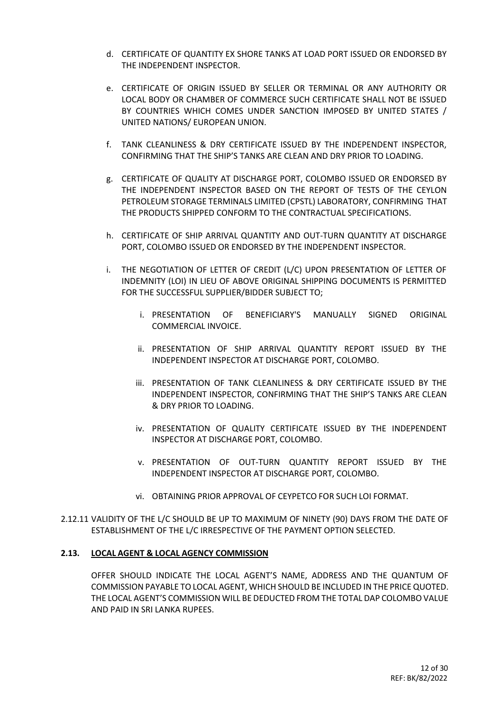- d. CERTIFICATE OF QUANTITY EX SHORE TANKS AT LOAD PORT ISSUED OR ENDORSED BY THE INDEPENDENT INSPECTOR.
- e. CERTIFICATE OF ORIGIN ISSUED BY SELLER OR TERMINAL OR ANY AUTHORITY OR LOCAL BODY OR CHAMBER OF COMMERCE SUCH CERTIFICATE SHALL NOT BE ISSUED BY COUNTRIES WHICH COMES UNDER SANCTION IMPOSED BY UNITED STATES / UNITED NATIONS/ EUROPEAN UNION.
- f. TANK CLEANLINESS & DRY CERTIFICATE ISSUED BY THE INDEPENDENT INSPECTOR, CONFIRMING THAT THE SHIP'S TANKS ARE CLEAN AND DRY PRIOR TO LOADING.
- g. CERTIFICATE OF QUALITY AT DISCHARGE PORT, COLOMBO ISSUED OR ENDORSED BY THE INDEPENDENT INSPECTOR BASED ON THE REPORT OF TESTS OF THE CEYLON PETROLEUM STORAGE TERMINALS LIMITED (CPSTL) LABORATORY, CONFIRMING THAT THE PRODUCTS SHIPPED CONFORM TO THE CONTRACTUAL SPECIFICATIONS.
- h. CERTIFICATE OF SHIP ARRIVAL QUANTITY AND OUT-TURN QUANTITY AT DISCHARGE PORT, COLOMBO ISSUED OR ENDORSED BY THE INDEPENDENT INSPECTOR.
- i. THE NEGOTIATION OF LETTER OF CREDIT (L/C) UPON PRESENTATION OF LETTER OF INDEMNITY (LOI) IN LIEU OF ABOVE ORIGINAL SHIPPING DOCUMENTS IS PERMITTED FOR THE SUCCESSFUL SUPPLIER/BIDDER SUBJECT TO;
	- i. PRESENTATION OF BENEFICIARY'S MANUALLY SIGNED ORIGINAL COMMERCIAL INVOICE.
	- ii. PRESENTATION OF SHIP ARRIVAL QUANTITY REPORT ISSUED BY THE INDEPENDENT INSPECTOR AT DISCHARGE PORT, COLOMBO.
	- iii. PRESENTATION OF TANK CLEANLINESS & DRY CERTIFICATE ISSUED BY THE INDEPENDENT INSPECTOR, CONFIRMING THAT THE SHIP'S TANKS ARE CLEAN & DRY PRIOR TO LOADING.
	- iv. PRESENTATION OF QUALITY CERTIFICATE ISSUED BY THE INDEPENDENT INSPECTOR AT DISCHARGE PORT, COLOMBO.
	- v. PRESENTATION OF OUT-TURN QUANTITY REPORT ISSUED BY THE INDEPENDENT INSPECTOR AT DISCHARGE PORT, COLOMBO.
	- vi. OBTAINING PRIOR APPROVAL OF CEYPETCO FOR SUCH LOI FORMAT.
- 2.12.11 VALIDITY OF THE L/C SHOULD BE UP TO MAXIMUM OF NINETY (90) DAYS FROM THE DATE OF ESTABLISHMENT OF THE L/C IRRESPECTIVE OF THE PAYMENT OPTION SELECTED.

#### **2.13. LOCAL AGENT & LOCAL AGENCY COMMISSION**

OFFER SHOULD INDICATE THE LOCAL AGENT'S NAME, ADDRESS AND THE QUANTUM OF COMMISSION PAYABLE TO LOCAL AGENT, WHICH SHOULD BE INCLUDED IN THE PRICE QUOTED. THE LOCAL AGENT'S COMMISSION WILL BE DEDUCTED FROM THE TOTAL DAP COLOMBO VALUE AND PAID IN SRI LANKA RUPEES.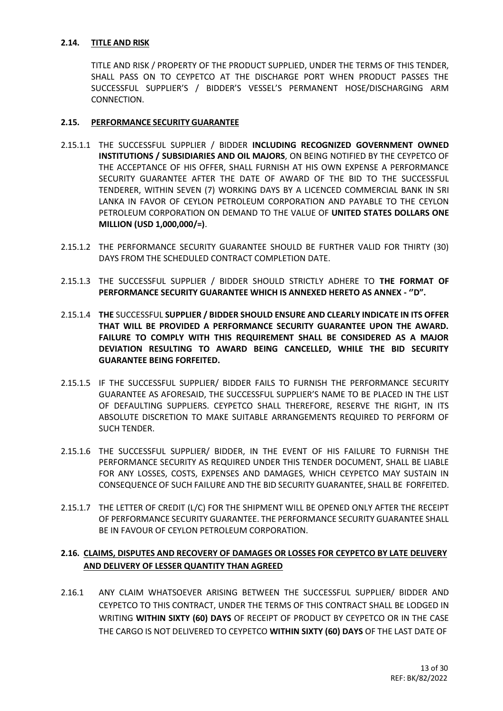#### **2.14. TITLE AND RISK**

TITLE AND RISK / PROPERTY OF THE PRODUCT SUPPLIED, UNDER THE TERMS OF THIS TENDER, SHALL PASS ON TO CEYPETCO AT THE DISCHARGE PORT WHEN PRODUCT PASSES THE SUCCESSFUL SUPPLIER'S / BIDDER'S VESSEL'S PERMANENT HOSE/DISCHARGING ARM CONNECTION.

#### **2.15. PERFORMANCE SECURITY GUARANTEE**

- 2.15.1.1 THE SUCCESSFUL SUPPLIER / BIDDER **INCLUDING RECOGNIZED GOVERNMENT OWNED INSTITUTIONS / SUBSIDIARIES AND OIL MAJORS**, ON BEING NOTIFIED BY THE CEYPETCO OF THE ACCEPTANCE OF HIS OFFER, SHALL FURNISH AT HIS OWN EXPENSE A PERFORMANCE SECURITY GUARANTEE AFTER THE DATE OF AWARD OF THE BID TO THE SUCCESSFUL TENDERER, WITHIN SEVEN (7) WORKING DAYS BY A LICENCED COMMERCIAL BANK IN SRI LANKA IN FAVOR OF CEYLON PETROLEUM CORPORATION AND PAYABLE TO THE CEYLON PETROLEUM CORPORATION ON DEMAND TO THE VALUE OF **UNITED STATES DOLLARS ONE MILLION (USD 1,000,000/=)**.
- 2.15.1.2 THE PERFORMANCE SECURITY GUARANTEE SHOULD BE FURTHER VALID FOR THIRTY (30) DAYS FROM THE SCHEDULED CONTRACT COMPLETION DATE.
- 2.15.1.3 THE SUCCESSFUL SUPPLIER / BIDDER SHOULD STRICTLY ADHERE TO **THE FORMAT OF PERFORMANCE SECURITY GUARANTEE WHICH IS ANNEXED HERETO AS ANNEX - ''D".**
- 2.15.1.4 **THE** SUCCESSFUL **SUPPLIER / BIDDER SHOULD ENSURE AND CLEARLY INDICATE IN ITS OFFER THAT WILL BE PROVIDED A PERFORMANCE SECURITY GUARANTEE UPON THE AWARD. FAILURE TO COMPLY WITH THIS REQUIREMENT SHALL BE CONSIDERED AS A MAJOR DEVIATION RESULTING TO AWARD BEING CANCELLED, WHILE THE BID SECURITY GUARANTEE BEING FORFEITED.**
- 2.15.1.5 IF THE SUCCESSFUL SUPPLIER/ BIDDER FAILS TO FURNISH THE PERFORMANCE SECURITY GUARANTEE AS AFORESAID, THE SUCCESSFUL SUPPLIER'S NAME TO BE PLACED IN THE LIST OF DEFAULTING SUPPLIERS. CEYPETCO SHALL THEREFORE, RESERVE THE RIGHT, IN ITS ABSOLUTE DISCRETION TO MAKE SUITABLE ARRANGEMENTS REQUIRED TO PERFORM OF SUCH TENDER.
- 2.15.1.6 THE SUCCESSFUL SUPPLIER/ BIDDER, IN THE EVENT OF HIS FAILURE TO FURNISH THE PERFORMANCE SECURITY AS REQUIRED UNDER THIS TENDER DOCUMENT, SHALL BE LIABLE FOR ANY LOSSES, COSTS, EXPENSES AND DAMAGES, WHICH CEYPETCO MAY SUSTAIN IN CONSEQUENCE OF SUCH FAILURE AND THE BID SECURITY GUARANTEE, SHALL BE FORFEITED.
- 2.15.1.7 THE LETTER OF CREDIT (L/C) FOR THE SHIPMENT WILL BE OPENED ONLY AFTER THE RECEIPT OF PERFORMANCE SECURITY GUARANTEE. THE PERFORMANCE SECURITY GUARANTEE SHALL BE IN FAVOUR OF CEYLON PETROLEUM CORPORATION.

#### **2.16. CLAIMS, DISPUTES AND RECOVERY OF DAMAGES OR LOSSES FOR CEYPETCO BY LATE DELIVERY AND DELIVERY OF LESSER QUANTITY THAN AGREED**

2.16.1 ANY CLAIM WHATSOEVER ARISING BETWEEN THE SUCCESSFUL SUPPLIER/ BIDDER AND CEYPETCO TO THIS CONTRACT, UNDER THE TERMS OF THIS CONTRACT SHALL BE LODGED IN WRITING **WITHIN SIXTY (60) DAYS** OF RECEIPT OF PRODUCT BY CEYPETCO OR IN THE CASE THE CARGO IS NOT DELIVERED TO CEYPETCO **WITHIN SIXTY (60) DAYS** OF THE LAST DATE OF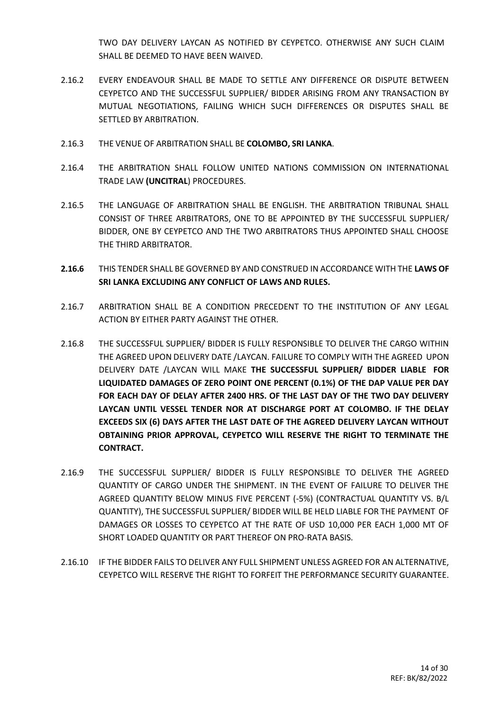TWO DAY DELIVERY LAYCAN AS NOTIFIED BY CEYPETCO. OTHERWISE ANY SUCH CLAIM SHALL BE DEEMED TO HAVE BEEN WAIVED.

- 2.16.2 EVERY ENDEAVOUR SHALL BE MADE TO SETTLE ANY DIFFERENCE OR DISPUTE BETWEEN CEYPETCO AND THE SUCCESSFUL SUPPLIER/ BIDDER ARISING FROM ANY TRANSACTION BY MUTUAL NEGOTIATIONS, FAILING WHICH SUCH DIFFERENCES OR DISPUTES SHALL BE SETTLED BY ARBITRATION.
- 2.16.3 THE VENUE OF ARBITRATION SHALL BE **COLOMBO, SRI LANKA**.
- 2.16.4 THE ARBITRATION SHALL FOLLOW UNITED NATIONS COMMISSION ON INTERNATIONAL TRADE LAW **(UNCITRAL**) PROCEDURES.
- 2.16.5 THE LANGUAGE OF ARBITRATION SHALL BE ENGLISH. THE ARBITRATION TRIBUNAL SHALL CONSIST OF THREE ARBITRATORS, ONE TO BE APPOINTED BY THE SUCCESSFUL SUPPLIER/ BIDDER, ONE BY CEYPETCO AND THE TWO ARBITRATORS THUS APPOINTED SHALL CHOOSE THE THIRD ARBITRATOR.
- **2.16.6** THIS TENDER SHALL BE GOVERNED BY AND CONSTRUED IN ACCORDANCE WITH THE **LAWS OF SRI LANKA EXCLUDING ANY CONFLICT OF LAWS AND RULES.**
- 2.16.7 ARBITRATION SHALL BE A CONDITION PRECEDENT TO THE INSTITUTION OF ANY LEGAL ACTION BY EITHER PARTY AGAINST THE OTHER.
- 2.16.8 THE SUCCESSFUL SUPPLIER/ BIDDER IS FULLY RESPONSIBLE TO DELIVER THE CARGO WITHIN THE AGREED UPON DELIVERY DATE /LAYCAN. FAILURE TO COMPLY WITH THE AGREED UPON DELIVERY DATE /LAYCAN WILL MAKE **THE SUCCESSFUL SUPPLIER/ BIDDER LIABLE FOR LIQUIDATED DAMAGES OF ZERO POINT ONE PERCENT (0.1%) OF THE DAP VALUE PER DAY FOR EACH DAY OF DELAY AFTER 2400 HRS. OF THE LAST DAY OF THE TWO DAY DELIVERY LAYCAN UNTIL VESSEL TENDER NOR AT DISCHARGE PORT AT COLOMBO. IF THE DELAY EXCEEDS SIX (6) DAYS AFTER THE LAST DATE OF THE AGREED DELIVERY LAYCAN WITHOUT OBTAINING PRIOR APPROVAL, CEYPETCO WILL RESERVE THE RIGHT TO TERMINATE THE CONTRACT.**
- 2.16.9 THE SUCCESSFUL SUPPLIER/ BIDDER IS FULLY RESPONSIBLE TO DELIVER THE AGREED QUANTITY OF CARGO UNDER THE SHIPMENT. IN THE EVENT OF FAILURE TO DELIVER THE AGREED QUANTITY BELOW MINUS FIVE PERCENT (-5%) (CONTRACTUAL QUANTITY VS. B/L QUANTITY), THE SUCCESSFUL SUPPLIER/ BIDDER WILL BE HELD LIABLE FOR THE PAYMENT OF DAMAGES OR LOSSES TO CEYPETCO AT THE RATE OF USD 10,000 PER EACH 1,000 MT OF SHORT LOADED QUANTITY OR PART THEREOF ON PRO-RATA BASIS.
- 2.16.10 IF THE BIDDER FAILS TO DELIVER ANY FULL SHIPMENT UNLESS AGREED FOR AN ALTERNATIVE, CEYPETCO WILL RESERVE THE RIGHT TO FORFEIT THE PERFORMANCE SECURITY GUARANTEE.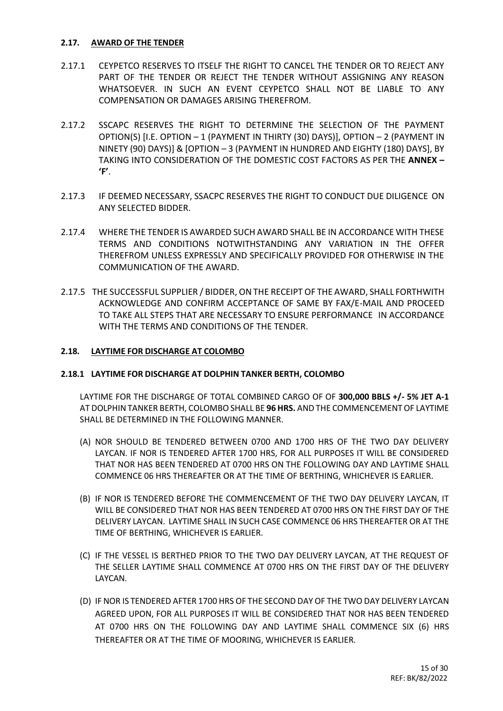#### **2.17. AWARD OF THE TENDER**

- 2.17.1 CEYPETCO RESERVES TO ITSELF THE RIGHT TO CANCEL THE TENDER OR TO REJECT ANY PART OF THE TENDER OR REJECT THE TENDER WITHOUT ASSIGNING ANY REASON WHATSOEVER. IN SUCH AN EVENT CEYPETCO SHALL NOT BE LIABLE TO ANY COMPENSATION OR DAMAGES ARISING THEREFROM.
- 2.17.2 SSCAPC RESERVES THE RIGHT TO DETERMINE THE SELECTION OF THE PAYMENT OPTION(S) [I.E. OPTION – 1 (PAYMENT IN THIRTY (30) DAYS)], OPTION – 2 (PAYMENT IN NINETY (90) DAYS)] & [OPTION – 3 (PAYMENT IN HUNDRED AND EIGHTY (180) DAYS], BY TAKING INTO CONSIDERATION OF THE DOMESTIC COST FACTORS AS PER THE **ANNEX – 'F'**.
- 2.17.3 IF DEEMED NECESSARY, SSACPC RESERVES THE RIGHT TO CONDUCT DUE DILIGENCE ON ANY SELECTED BIDDER.
- 2.17.4 WHERE THE TENDER IS AWARDED SUCH AWARD SHALL BE IN ACCORDANCE WITH THESE TERMS AND CONDITIONS NOTWITHSTANDING ANY VARIATION IN THE OFFER THEREFROM UNLESS EXPRESSLY AND SPECIFICALLY PROVIDED FOR OTHERWISE IN THE COMMUNICATION OF THE AWARD.
- 2.17.5 THE SUCCESSFUL SUPPLIER / BIDDER, ON THE RECEIPT OF THE AWARD, SHALL FORTHWITH ACKNOWLEDGE AND CONFIRM ACCEPTANCE OF SAME BY FAX/E-MAIL AND PROCEED TO TAKE ALL STEPS THAT ARE NECESSARY TO ENSURE PERFORMANCE IN ACCORDANCE WITH THE TERMS AND CONDITIONS OF THE TENDER.

#### **2.18. LAYTIME FOR DISCHARGE AT COLOMBO**

#### **2.18.1 LAYTIME FOR DISCHARGE AT DOLPHIN TANKER BERTH, COLOMBO**

LAYTIME FOR THE DISCHARGE OF TOTAL COMBINED CARGO OF OF **300,000 BBLS +/- 5% JET A-1**  AT DOLPHIN TANKER BERTH, COLOMBO SHALL BE **96 HRS.** AND THE COMMENCEMENT OF LAYTIME SHALL BE DETERMINED IN THE FOLLOWING MANNER.

- (A) NOR SHOULD BE TENDERED BETWEEN 0700 AND 1700 HRS OF THE TWO DAY DELIVERY LAYCAN. IF NOR IS TENDERED AFTER 1700 HRS, FOR ALL PURPOSES IT WILL BE CONSIDERED THAT NOR HAS BEEN TENDERED AT 0700 HRS ON THE FOLLOWING DAY AND LAYTIME SHALL COMMENCE 06 HRS THEREAFTER OR AT THE TIME OF BERTHING, WHICHEVER IS EARLIER.
- (B) IF NOR IS TENDERED BEFORE THE COMMENCEMENT OF THE TWO DAY DELIVERY LAYCAN, IT WILL BE CONSIDERED THAT NOR HAS BEEN TENDERED AT 0700 HRS ON THE FIRST DAY OF THE DELIVERY LAYCAN. LAYTIME SHALL IN SUCH CASE COMMENCE 06 HRS THEREAFTER OR AT THE TIME OF BERTHING, WHICHEVER IS EARLIER.
- (C) IF THE VESSEL IS BERTHED PRIOR TO THE TWO DAY DELIVERY LAYCAN, AT THE REQUEST OF THE SELLER LAYTIME SHALL COMMENCE AT 0700 HRS ON THE FIRST DAY OF THE DELIVERY LAYCAN.
- (D) IF NOR IS TENDERED AFTER 1700 HRS OF THE SECOND DAY OF THE TWO DAY DELIVERY LAYCAN AGREED UPON, FOR ALL PURPOSES IT WILL BE CONSIDERED THAT NOR HAS BEEN TENDERED AT 0700 HRS ON THE FOLLOWING DAY AND LAYTIME SHALL COMMENCE SIX (6) HRS THEREAFTER OR AT THE TIME OF MOORING, WHICHEVER IS EARLIER.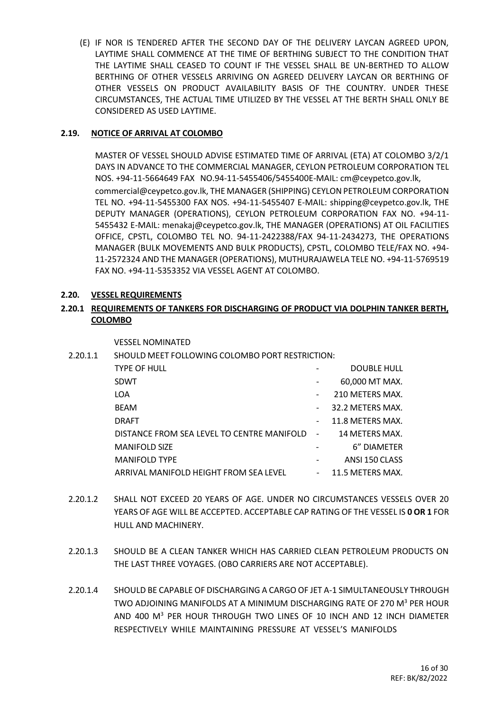(E) IF NOR IS TENDERED AFTER THE SECOND DAY OF THE DELIVERY LAYCAN AGREED UPON, LAYTIME SHALL COMMENCE AT THE TIME OF BERTHING SUBJECT TO THE CONDITION THAT THE LAYTIME SHALL CEASED TO COUNT IF THE VESSEL SHALL BE UN-BERTHED TO ALLOW BERTHING OF OTHER VESSELS ARRIVING ON AGREED DELIVERY LAYCAN OR BERTHING OF OTHER VESSELS ON PRODUCT AVAILABILITY BASIS OF THE COUNTRY. UNDER THESE CIRCUMSTANCES, THE ACTUAL TIME UTILIZED BY THE VESSEL AT THE BERTH SHALL ONLY BE CONSIDERED AS USED LAYTIME.

#### **2.19. NOTICE OF ARRIVAL AT COLOMBO**

MASTER OF VESSEL SHOULD ADVISE ESTIMATED TIME OF ARRIVAL (ETA) AT COLOMBO 3/2/1 DAYS IN ADVANCE TO THE COMMERCIAL MANAGER, CEYLON PETROLEUM CORPORATION TEL NOS. +94-11-5664649 FAX NO.94-11-5455406/5455400E-MAIL: [cm@ceypetco.gov.lk,](mailto:cm@ceypetco.gov.lk) [commercial@ceypetco.gov.lk,](mailto:commercial@ceypetco.gov.lk) THE MANAGER (SHIPPING) CEYLON PETROLEUM CORPORATION TEL NO. +94-11-5455300 FAX NOS. +94-11-5455407 E-MAIL: [shipping@ceypetco.gov.lk,](mailto:shipping@ceypetco.gov.lk) THE DEPUTY MANAGER (OPERATIONS), CEYLON PETROLEUM CORPORATION FAX NO. +94-11- 5455432 E-MAIL: [menakaj@ceypetco.gov.lk,](mailto:menakaj@ceypetco.gov.lk) THE MANAGER (OPERATIONS) AT OIL FACILITIES OFFICE, CPSTL, COLOMBO TEL NO. 94-11-2422388/FAX 94-11-2434273, THE OPERATIONS MANAGER (BULK MOVEMENTS AND BULK PRODUCTS), CPSTL, COLOMBO TELE/FAX NO. +94- 11-2572324 AND THE MANAGER (OPERATIONS), MUTHURAJAWELA TELE NO. +94-11-5769519 FAX NO. +94-11-5353352 VIA VESSEL AGENT AT COLOMBO.

#### **2.20. VESSEL REQUIREMENTS**

#### **2.20.1 REQUIREMENTS OF TANKERS FOR DISCHARGING OF PRODUCT VIA DOLPHIN TANKER BERTH, COLOMBO**

VESSEL NOMINATED

2.20.1.1 SHOULD MEET FOLLOWING COLOMBO PORT RESTRICTION:

| TYPE OF HULL                                 |                          | <b>DOUBLE HULL</b> |
|----------------------------------------------|--------------------------|--------------------|
| SDWT                                         |                          | 60,000 MT MAX.     |
| LOA                                          | $\overline{\phantom{a}}$ | 210 METERS MAX.    |
| BEAM                                         | $\overline{\phantom{a}}$ | 32.2 METERS MAX.   |
| DRAFT                                        | $\overline{\phantom{a}}$ | 11.8 METERS MAX.   |
| DISTANCE FROM SEA LEVEL TO CENTRE MANIFOLD - |                          | 14 METERS MAX.     |
| <b>MANIFOLD SIZE</b>                         |                          | 6" DIAMETER        |
| <b>MANIFOLD TYPE</b>                         |                          | ANSI 150 CLASS     |
| ARRIVAL MANIFOLD HEIGHT FROM SEA LEVEL       | $\sim$ 10 $\pm$          | 11.5 METERS MAX.   |
|                                              |                          |                    |

- 2.20.1.2 SHALL NOT EXCEED 20 YEARS OF AGE. UNDER NO CIRCUMSTANCES VESSELS OVER 20 YEARS OF AGE WILL BE ACCEPTED. ACCEPTABLE CAP RATING OF THE VESSEL IS **0 OR 1** FOR HULL AND MACHINERY.
- 2.20.1.3 SHOULD BE A CLEAN TANKER WHICH HAS CARRIED CLEAN PETROLEUM PRODUCTS ON THE LAST THREE VOYAGES. (OBO CARRIERS ARE NOT ACCEPTABLE).
- 2.20.1.4 SHOULD BE CAPABLE OF DISCHARGING A CARGO OF JET A-1 SIMULTANEOUSLY THROUGH TWO ADJOINING MANIFOLDS AT A MINIMUM DISCHARGING RATE OF 270 M<sup>3</sup> PER HOUR AND 400 M<sup>3</sup> PER HOUR THROUGH TWO LINES OF 10 INCH AND 12 INCH DIAMETER RESPECTIVELY WHILE MAINTAINING PRESSURE AT VESSEL'S MANIFOLDS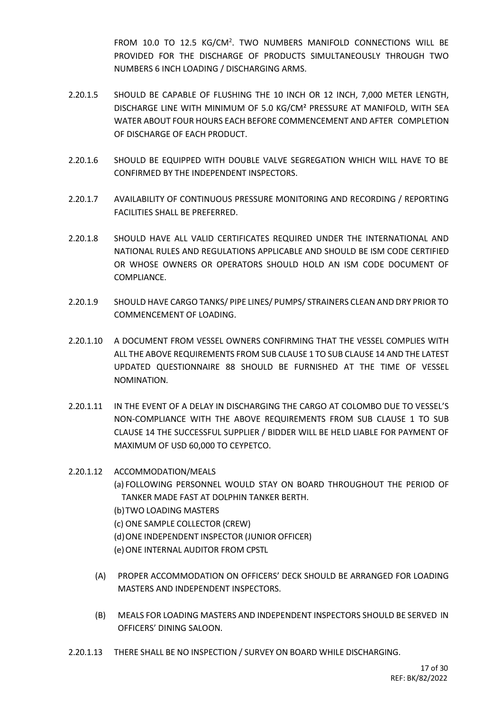FROM 10.0 TO 12.5 KG/CM<sup>2</sup>. TWO NUMBERS MANIFOLD CONNECTIONS WILL BE PROVIDED FOR THE DISCHARGE OF PRODUCTS SIMULTANEOUSLY THROUGH TWO NUMBERS 6 INCH LOADING / DISCHARGING ARMS.

- 2.20.1.5 SHOULD BE CAPABLE OF FLUSHING THE 10 INCH OR 12 INCH, 7,000 METER LENGTH, DISCHARGE LINE WITH MINIMUM OF 5.0 KG/CM² PRESSURE AT MANIFOLD, WITH SEA WATER ABOUT FOUR HOURS EACH BEFORE COMMENCEMENT AND AFTER COMPLETION OF DISCHARGE OF EACH PRODUCT.
- 2.20.1.6 SHOULD BE EQUIPPED WITH DOUBLE VALVE SEGREGATION WHICH WILL HAVE TO BE CONFIRMED BY THE INDEPENDENT INSPECTORS.
- 2.20.1.7 AVAILABILITY OF CONTINUOUS PRESSURE MONITORING AND RECORDING / REPORTING FACILITIES SHALL BE PREFERRED.
- 2.20.1.8 SHOULD HAVE ALL VALID CERTIFICATES REQUIRED UNDER THE INTERNATIONAL AND NATIONAL RULES AND REGULATIONS APPLICABLE AND SHOULD BE ISM CODE CERTIFIED OR WHOSE OWNERS OR OPERATORS SHOULD HOLD AN ISM CODE DOCUMENT OF COMPLIANCE.
- 2.20.1.9 SHOULD HAVE CARGO TANKS/ PIPE LINES/ PUMPS/ STRAINERS CLEAN AND DRY PRIOR TO COMMENCEMENT OF LOADING.
- 2.20.1.10 A DOCUMENT FROM VESSEL OWNERS CONFIRMING THAT THE VESSEL COMPLIES WITH ALL THE ABOVE REQUIREMENTS FROM SUB CLAUSE 1 TO SUB CLAUSE 14 AND THE LATEST UPDATED QUESTIONNAIRE 88 SHOULD BE FURNISHED AT THE TIME OF VESSEL NOMINATION.
- 2.20.1.11 IN THE EVENT OF A DELAY IN DISCHARGING THE CARGO AT COLOMBO DUE TO VESSEL'S NON-COMPLIANCE WITH THE ABOVE REQUIREMENTS FROM SUB CLAUSE 1 TO SUB CLAUSE 14 THE SUCCESSFUL SUPPLIER / BIDDER WILL BE HELD LIABLE FOR PAYMENT OF MAXIMUM OF USD 60,000 TO CEYPETCO.
- 2.20.1.12 ACCOMMODATION/MEALS

(a) FOLLOWING PERSONNEL WOULD STAY ON BOARD THROUGHOUT THE PERIOD OF TANKER MADE FAST AT DOLPHIN TANKER BERTH.

- (b)TWO LOADING MASTERS
- (c) ONE SAMPLE COLLECTOR (CREW)
- (d)ONE INDEPENDENT INSPECTOR (JUNIOR OFFICER)
- (e) ONE INTERNAL AUDITOR FROM CPSTL
- (A) PROPER ACCOMMODATION ON OFFICERS' DECK SHOULD BE ARRANGED FOR LOADING MASTERS AND INDEPENDENT INSPECTORS.
- (B) MEALS FOR LOADING MASTERS AND INDEPENDENT INSPECTORS SHOULD BE SERVED IN OFFICERS' DINING SALOON.
- 2.20.1.13 THERE SHALL BE NO INSPECTION / SURVEY ON BOARD WHILE DISCHARGING.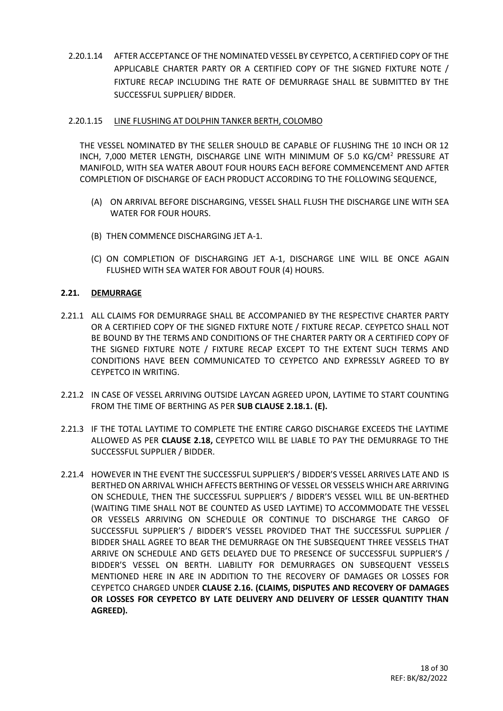2.20.1.14 AFTER ACCEPTANCE OF THE NOMINATED VESSEL BY CEYPETCO, A CERTIFIED COPY OF THE APPLICABLE CHARTER PARTY OR A CERTIFIED COPY OF THE SIGNED FIXTURE NOTE / FIXTURE RECAP INCLUDING THE RATE OF DEMURRAGE SHALL BE SUBMITTED BY THE SUCCESSFUL SUPPLIER/ BIDDER.

#### 2.20.1.15 LINE FLUSHING AT DOLPHIN TANKER BERTH, COLOMBO

THE VESSEL NOMINATED BY THE SELLER SHOULD BE CAPABLE OF FLUSHING THE 10 INCH OR 12 INCH, 7,000 METER LENGTH, DISCHARGE LINE WITH MINIMUM OF 5.0 KG/CM<sup>2</sup> PRESSURE AT MANIFOLD, WITH SEA WATER ABOUT FOUR HOURS EACH BEFORE COMMENCEMENT AND AFTER COMPLETION OF DISCHARGE OF EACH PRODUCT ACCORDING TO THE FOLLOWING SEQUENCE,

- (A) ON ARRIVAL BEFORE DISCHARGING, VESSEL SHALL FLUSH THE DISCHARGE LINE WITH SEA WATER FOR FOUR HOURS.
- (B) THEN COMMENCE DISCHARGING JET A-1.
- (C) ON COMPLETION OF DISCHARGING JET A-1, DISCHARGE LINE WILL BE ONCE AGAIN FLUSHED WITH SEA WATER FOR ABOUT FOUR (4) HOURS.

#### **2.21. DEMURRAGE**

- 2.21.1 ALL CLAIMS FOR DEMURRAGE SHALL BE ACCOMPANIED BY THE RESPECTIVE CHARTER PARTY OR A CERTIFIED COPY OF THE SIGNED FIXTURE NOTE / FIXTURE RECAP. CEYPETCO SHALL NOT BE BOUND BY THE TERMS AND CONDITIONS OF THE CHARTER PARTY OR A CERTIFIED COPY OF THE SIGNED FIXTURE NOTE / FIXTURE RECAP EXCEPT TO THE EXTENT SUCH TERMS AND CONDITIONS HAVE BEEN COMMUNICATED TO CEYPETCO AND EXPRESSLY AGREED TO BY CEYPETCO IN WRITING.
- 2.21.2 IN CASE OF VESSEL ARRIVING OUTSIDE LAYCAN AGREED UPON, LAYTIME TO START COUNTING FROM THE TIME OF BERTHING AS PER **SUB CLAUSE 2.18.1. (E).**
- 2.21.3 IF THE TOTAL LAYTIME TO COMPLETE THE ENTIRE CARGO DISCHARGE EXCEEDS THE LAYTIME ALLOWED AS PER **CLAUSE 2.18,** CEYPETCO WILL BE LIABLE TO PAY THE DEMURRAGE TO THE SUCCESSFUL SUPPLIER / BIDDER.
- 2.21.4 HOWEVER IN THE EVENT THE SUCCESSFUL SUPPLIER'S / BIDDER'S VESSEL ARRIVES LATE AND IS BERTHED ON ARRIVAL WHICH AFFECTS BERTHING OF VESSEL OR VESSELS WHICH ARE ARRIVING ON SCHEDULE, THEN THE SUCCESSFUL SUPPLIER'S / BIDDER'S VESSEL WILL BE UN-BERTHED (WAITING TIME SHALL NOT BE COUNTED AS USED LAYTIME) TO ACCOMMODATE THE VESSEL OR VESSELS ARRIVING ON SCHEDULE OR CONTINUE TO DISCHARGE THE CARGO OF SUCCESSFUL SUPPLIER'S / BIDDER'S VESSEL PROVIDED THAT THE SUCCESSFUL SUPPLIER / BIDDER SHALL AGREE TO BEAR THE DEMURRAGE ON THE SUBSEQUENT THREE VESSELS THAT ARRIVE ON SCHEDULE AND GETS DELAYED DUE TO PRESENCE OF SUCCESSFUL SUPPLIER'S / BIDDER'S VESSEL ON BERTH. LIABILITY FOR DEMURRAGES ON SUBSEQUENT VESSELS MENTIONED HERE IN ARE IN ADDITION TO THE RECOVERY OF DAMAGES OR LOSSES FOR CEYPETCO CHARGED UNDER **CLAUSE 2.16. (CLAIMS, DISPUTES AND RECOVERY OF DAMAGES OR LOSSES FOR CEYPETCO BY LATE DELIVERY AND DELIVERY OF LESSER QUANTITY THAN AGREED).**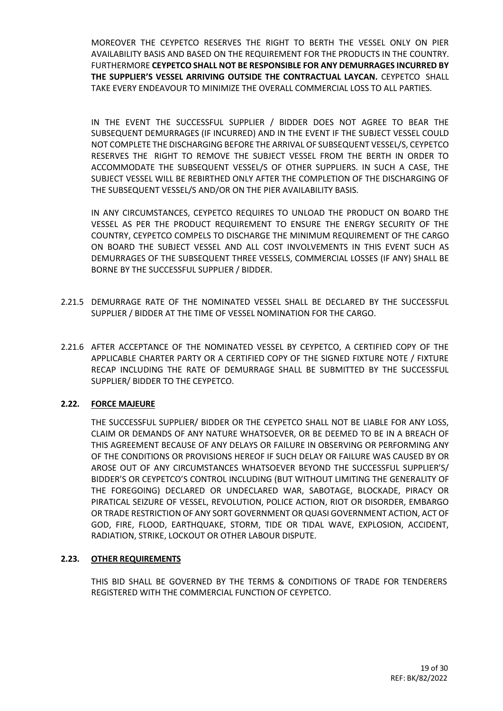MOREOVER THE CEYPETCO RESERVES THE RIGHT TO BERTH THE VESSEL ONLY ON PIER AVAILABILITY BASIS AND BASED ON THE REQUIREMENT FOR THE PRODUCTS IN THE COUNTRY. FURTHERMORE **CEYPETCO SHALL NOT BE RESPONSIBLE FOR ANY DEMURRAGES INCURRED BY THE SUPPLIER'S VESSEL ARRIVING OUTSIDE THE CONTRACTUAL LAYCAN.** CEYPETCO SHALL TAKE EVERY ENDEAVOUR TO MINIMIZE THE OVERALL COMMERCIAL LOSS TO ALL PARTIES.

IN THE EVENT THE SUCCESSFUL SUPPLIER / BIDDER DOES NOT AGREE TO BEAR THE SUBSEQUENT DEMURRAGES (IF INCURRED) AND IN THE EVENT IF THE SUBJECT VESSEL COULD NOT COMPLETE THE DISCHARGING BEFORE THE ARRIVAL OF SUBSEQUENT VESSEL/S, CEYPETCO RESERVES THE RIGHT TO REMOVE THE SUBJECT VESSEL FROM THE BERTH IN ORDER TO ACCOMMODATE THE SUBSEQUENT VESSEL/S OF OTHER SUPPLIERS. IN SUCH A CASE, THE SUBJECT VESSEL WILL BE REBIRTHED ONLY AFTER THE COMPLETION OF THE DISCHARGING OF THE SUBSEQUENT VESSEL/S AND/OR ON THE PIER AVAILABILITY BASIS.

IN ANY CIRCUMSTANCES, CEYPETCO REQUIRES TO UNLOAD THE PRODUCT ON BOARD THE VESSEL AS PER THE PRODUCT REQUIREMENT TO ENSURE THE ENERGY SECURITY OF THE COUNTRY, CEYPETCO COMPELS TO DISCHARGE THE MINIMUM REQUIREMENT OF THE CARGO ON BOARD THE SUBJECT VESSEL AND ALL COST INVOLVEMENTS IN THIS EVENT SUCH AS DEMURRAGES OF THE SUBSEQUENT THREE VESSELS, COMMERCIAL LOSSES (IF ANY) SHALL BE BORNE BY THE SUCCESSFUL SUPPLIER / BIDDER.

- 2.21.5 DEMURRAGE RATE OF THE NOMINATED VESSEL SHALL BE DECLARED BY THE SUCCESSFUL SUPPLIER / BIDDER AT THE TIME OF VESSEL NOMINATION FOR THE CARGO.
- 2.21.6 AFTER ACCEPTANCE OF THE NOMINATED VESSEL BY CEYPETCO, A CERTIFIED COPY OF THE APPLICABLE CHARTER PARTY OR A CERTIFIED COPY OF THE SIGNED FIXTURE NOTE / FIXTURE RECAP INCLUDING THE RATE OF DEMURRAGE SHALL BE SUBMITTED BY THE SUCCESSFUL SUPPLIER/ BIDDER TO THE CEYPETCO.

#### **2.22. FORCE MAJEURE**

THE SUCCESSFUL SUPPLIER/ BIDDER OR THE CEYPETCO SHALL NOT BE LIABLE FOR ANY LOSS, CLAIM OR DEMANDS OF ANY NATURE WHATSOEVER, OR BE DEEMED TO BE IN A BREACH OF THIS AGREEMENT BECAUSE OF ANY DELAYS OR FAILURE IN OBSERVING OR PERFORMING ANY OF THE CONDITIONS OR PROVISIONS HEREOF IF SUCH DELAY OR FAILURE WAS CAUSED BY OR AROSE OUT OF ANY CIRCUMSTANCES WHATSOEVER BEYOND THE SUCCESSFUL SUPPLIER'S/ BIDDER'S OR CEYPETCO'S CONTROL INCLUDING (BUT WITHOUT LIMITING THE GENERALITY OF THE FOREGOING) DECLARED OR UNDECLARED WAR, SABOTAGE, BLOCKADE, PIRACY OR PIRATICAL SEIZURE OF VESSEL, REVOLUTION, POLICE ACTION, RIOT OR DISORDER, EMBARGO OR TRADE RESTRICTION OF ANY SORT GOVERNMENT OR QUASI GOVERNMENT ACTION, ACT OF GOD, FIRE, FLOOD, EARTHQUAKE, STORM, TIDE OR TIDAL WAVE, EXPLOSION, ACCIDENT, RADIATION, STRIKE, LOCKOUT OR OTHER LABOUR DISPUTE.

#### **2.23. OTHER REQUIREMENTS**

THIS BID SHALL BE GOVERNED BY THE TERMS & CONDITIONS OF TRADE FOR TENDERERS REGISTERED WITH THE COMMERCIAL FUNCTION OF CEYPETCO.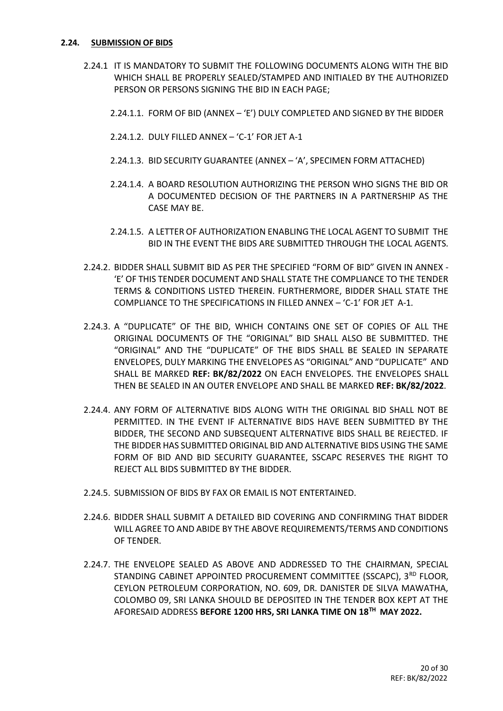#### **2.24. SUBMISSION OF BIDS**

- 2.24.1 IT IS MANDATORY TO SUBMIT THE FOLLOWING DOCUMENTS ALONG WITH THE BID WHICH SHALL BE PROPERLY SEALED/STAMPED AND INITIALED BY THE AUTHORIZED PERSON OR PERSONS SIGNING THE BID IN EACH PAGE;
	- 2.24.1.1. FORM OF BID (ANNEX 'E') DULY COMPLETED AND SIGNED BY THE BIDDER
	- 2.24.1.2. DULY FILLED ANNEX 'C-1' FOR JET A-1
	- 2.24.1.3. BID SECURITY GUARANTEE (ANNEX 'A', SPECIMEN FORM ATTACHED)
	- 2.24.1.4. A BOARD RESOLUTION AUTHORIZING THE PERSON WHO SIGNS THE BID OR A DOCUMENTED DECISION OF THE PARTNERS IN A PARTNERSHIP AS THE CASE MAY BE.
	- 2.24.1.5. A LETTER OF AUTHORIZATION ENABLING THE LOCAL AGENT TO SUBMIT THE BID IN THE EVENT THE BIDS ARE SUBMITTED THROUGH THE LOCAL AGENTS.
- 2.24.2. BIDDER SHALL SUBMIT BID AS PER THE SPECIFIED "FORM OF BID" GIVEN IN ANNEX 'E' OF THIS TENDER DOCUMENT AND SHALL STATE THE COMPLIANCE TO THE TENDER TERMS & CONDITIONS LISTED THEREIN. FURTHERMORE, BIDDER SHALL STATE THE COMPLIANCE TO THE SPECIFICATIONS IN FILLED ANNEX – 'C-1' FOR JET A-1.
- 2.24.3. A "DUPLICATE" OF THE BID, WHICH CONTAINS ONE SET OF COPIES OF ALL THE ORIGINAL DOCUMENTS OF THE "ORIGINAL" BID SHALL ALSO BE SUBMITTED. THE "ORIGINAL" AND THE "DUPLICATE" OF THE BIDS SHALL BE SEALED IN SEPARATE ENVELOPES, DULY MARKING THE ENVELOPES AS "ORIGINAL" AND "DUPLICATE" AND SHALL BE MARKED **REF: BK/82/2022** ON EACH ENVELOPES. THE ENVELOPES SHALL THEN BE SEALED IN AN OUTER ENVELOPE AND SHALL BE MARKED **REF: BK/82/2022**.
- 2.24.4. ANY FORM OF ALTERNATIVE BIDS ALONG WITH THE ORIGINAL BID SHALL NOT BE PERMITTED. IN THE EVENT IF ALTERNATIVE BIDS HAVE BEEN SUBMITTED BY THE BIDDER, THE SECOND AND SUBSEQUENT ALTERNATIVE BIDS SHALL BE REJECTED. IF THE BIDDER HAS SUBMITTED ORIGINAL BID AND ALTERNATIVE BIDS USING THE SAME FORM OF BID AND BID SECURITY GUARANTEE, SSCAPC RESERVES THE RIGHT TO REJECT ALL BIDS SUBMITTED BY THE BIDDER.
- 2.24.5. SUBMISSION OF BIDS BY FAX OR EMAIL IS NOT ENTERTAINED.
- 2.24.6. BIDDER SHALL SUBMIT A DETAILED BID COVERING AND CONFIRMING THAT BIDDER WILL AGREE TO AND ABIDE BY THE ABOVE REQUIREMENTS/TERMS AND CONDITIONS OF TENDER.
- 2.24.7. THE ENVELOPE SEALED AS ABOVE AND ADDRESSED TO THE CHAIRMAN, SPECIAL STANDING CABINET APPOINTED PROCUREMENT COMMITTEE (SSCAPC), 3RD FLOOR, CEYLON PETROLEUM CORPORATION, NO. 609, DR. DANISTER DE SILVA MAWATHA, COLOMBO 09, SRI LANKA SHOULD BE DEPOSITED IN THE TENDER BOX KEPT AT THE AFORESAID ADDRESS **BEFORE 1200 HRS, SRI LANKA TIME ON 18TH MAY 2022.**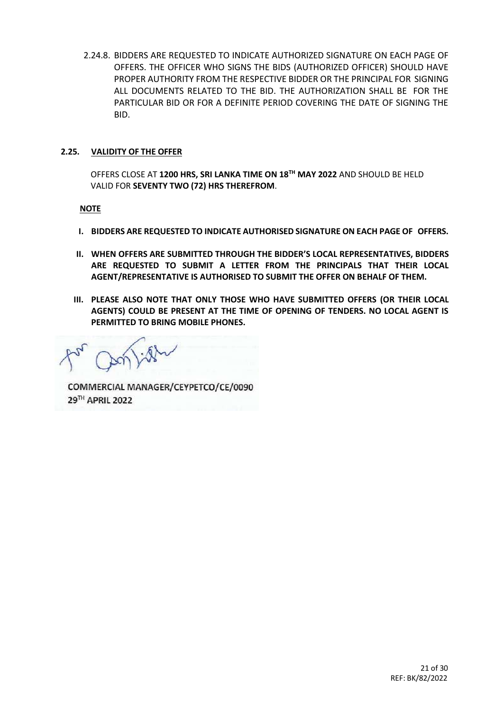2.24.8. BIDDERS ARE REQUESTED TO INDICATE AUTHORIZED SIGNATURE ON EACH PAGE OF OFFERS. THE OFFICER WHO SIGNS THE BIDS (AUTHORIZED OFFICER) SHOULD HAVE PROPER AUTHORITY FROM THE RESPECTIVE BIDDER OR THE PRINCIPAL FOR SIGNING ALL DOCUMENTS RELATED TO THE BID. THE AUTHORIZATION SHALL BE FOR THE PARTICULAR BID OR FOR A DEFINITE PERIOD COVERING THE DATE OF SIGNING THE BID.

#### **2.25. VALIDITY OF THE OFFER**

OFFERS CLOSE AT **1200 HRS, SRI LANKA TIME ON 18TH MAY 2022** AND SHOULD BE HELD VALID FOR **SEVENTY TWO (72) HRS THEREFROM**.

#### **NOTE**

- **I. BIDDERS ARE REQUESTED TO INDICATE AUTHORISED SIGNATURE ON EACH PAGE OF OFFERS.**
- **II. WHEN OFFERS ARE SUBMITTED THROUGH THE BIDDER'S LOCAL REPRESENTATIVES, BIDDERS ARE REQUESTED TO SUBMIT A LETTER FROM THE PRINCIPALS THAT THEIR LOCAL AGENT/REPRESENTATIVE IS AUTHORISED TO SUBMIT THE OFFER ON BEHALF OF THEM.**
- **III. PLEASE ALSO NOTE THAT ONLY THOSE WHO HAVE SUBMITTED OFFERS (OR THEIR LOCAL AGENTS) COULD BE PRESENT AT THE TIME OF OPENING OF TENDERS. NO LOCAL AGENT IS PERMITTED TO BRING MOBILE PHONES.**

COMMERCIAL MANAGER/CEYPETCO/CE/0090 29TH APRIL 2022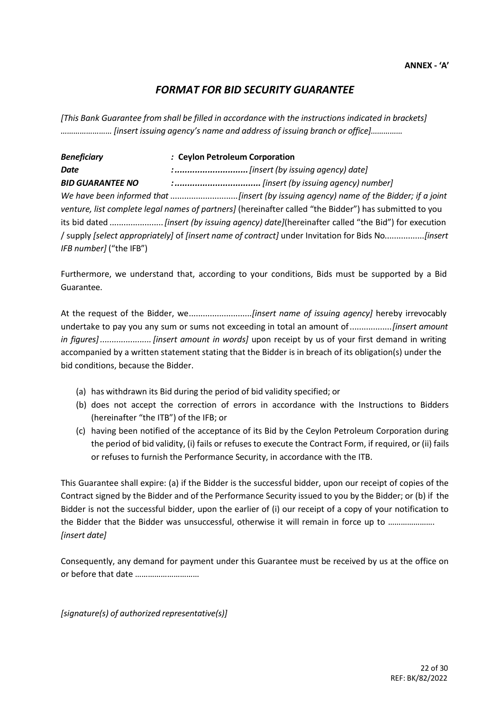#### *FORMAT FOR BID SECURITY GUARANTEE*

*[This Bank Guarantee from shall be filled in accordance with the instructions indicated in brackets] …………………… [insert issuing agency's name and address of issuing branch or office]……………*

*Beneficiary :* **Ceylon Petroleum Corporation** *Date :.............................[insert (by issuing agency) date] BID GUARANTEE NO :.................................. [insert (by issuing agency) number] We have been informed that* .............................*[insert (by issuing agency) name of the Bidder; if a joint venture, list complete legal names of partners]* (hereinafter called "the Bidder") has submitted to you its bid dated .......................*[insert (by issuing agency) date]*(hereinafter called "the Bid") for execution / supply *[select appropriately]* of *[insert name of contract]* under Invitation for Bids No.................*[insert IFB number]* ("the IFB")

Furthermore, we understand that, according to your conditions, Bids must be supported by a Bid Guarantee.

At the request of the Bidder, we...........................*[insert name of issuing agency]* hereby irrevocably undertake to pay you any sum or sums not exceeding in total an amount of..................*[insert amount in figures]...................... [insert amount in words]* upon receipt by us of your first demand in writing accompanied by a written statement stating that the Bidder is in breach of its obligation(s) under the bid conditions, because the Bidder.

- (a) has withdrawn its Bid during the period of bid validity specified; or
- (b) does not accept the correction of errors in accordance with the Instructions to Bidders (hereinafter "the ITB") of the IFB; or
- (c) having been notified of the acceptance of its Bid by the Ceylon Petroleum Corporation during the period of bid validity, (i) fails or refuses to execute the Contract Form, if required, or (ii) fails or refuses to furnish the Performance Security, in accordance with the ITB.

This Guarantee shall expire: (a) if the Bidder is the successful bidder, upon our receipt of copies of the Contract signed by the Bidder and of the Performance Security issued to you by the Bidder; or (b) if the Bidder is not the successful bidder, upon the earlier of (i) our receipt of a copy of your notification to the Bidder that the Bidder was unsuccessful, otherwise it will remain in force up to ........................ *[insert date]*

Consequently, any demand for payment under this Guarantee must be received by us at the office on or before that date …………………………

*[signature(s) of authorized representative(s)]*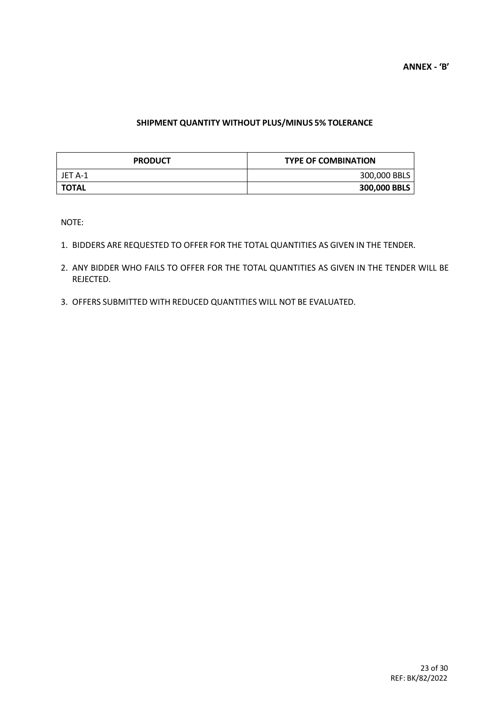#### **SHIPMENT QUANTITY WITHOUT PLUS/MINUS 5% TOLERANCE**

| <b>PRODUCT</b> | <b>TYPE OF COMBINATION</b> |
|----------------|----------------------------|
| JET A-1        | 300,000 BBLS               |
| <b>TOTAL</b>   | 300,000 BBLS               |

NOTE:

- 1. BIDDERS ARE REQUESTED TO OFFER FOR THE TOTAL QUANTITIES AS GIVEN IN THE TENDER.
- 2. ANY BIDDER WHO FAILS TO OFFER FOR THE TOTAL QUANTITIES AS GIVEN IN THE TENDER WILL BE REJECTED.
- 3. OFFERS SUBMITTED WITH REDUCED QUANTITIES WILL NOT BE EVALUATED.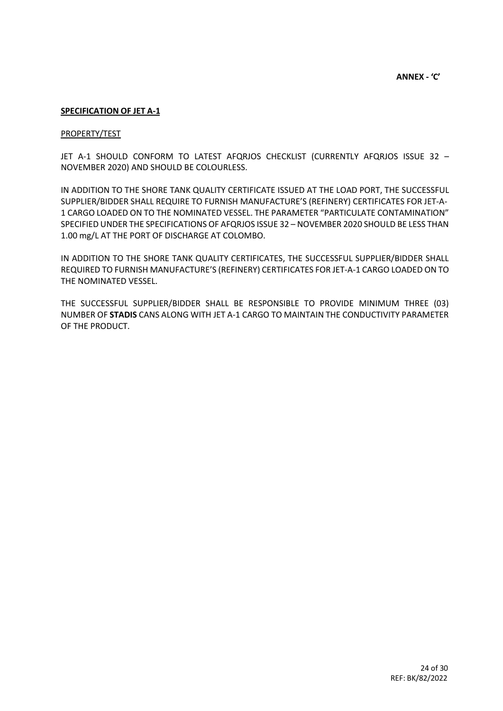#### **SPECIFICATION OF JET A-1**

#### PROPERTY/TEST

JET A-1 SHOULD CONFORM TO LATEST AFQRJOS CHECKLIST (CURRENTLY AFQRJOS ISSUE 32 – NOVEMBER 2020) AND SHOULD BE COLOURLESS.

IN ADDITION TO THE SHORE TANK QUALITY CERTIFICATE ISSUED AT THE LOAD PORT, THE SUCCESSFUL SUPPLIER/BIDDER SHALL REQUIRE TO FURNISH MANUFACTURE'S (REFINERY) CERTIFICATES FOR JET-A-1 CARGO LOADED ON TO THE NOMINATED VESSEL. THE PARAMETER "PARTICULATE CONTAMINATION" SPECIFIED UNDER THE SPECIFICATIONS OF AFQRJOS ISSUE 32 – NOVEMBER 2020 SHOULD BE LESS THAN 1.00 mg/L AT THE PORT OF DISCHARGE AT COLOMBO.

IN ADDITION TO THE SHORE TANK QUALITY CERTIFICATES, THE SUCCESSFUL SUPPLIER/BIDDER SHALL REQUIRED TO FURNISH MANUFACTURE'S (REFINERY) CERTIFICATES FOR JET-A-1 CARGO LOADED ON TO THE NOMINATED VESSEL.

THE SUCCESSFUL SUPPLIER/BIDDER SHALL BE RESPONSIBLE TO PROVIDE MINIMUM THREE (03) NUMBER OF **STADIS** CANS ALONG WITH JET A-1 CARGO TO MAINTAIN THE CONDUCTIVITY PARAMETER OF THE PRODUCT.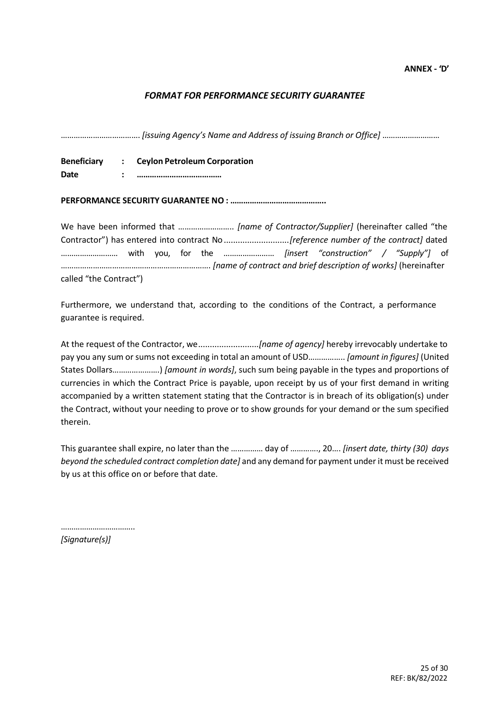#### *FORMAT FOR PERFORMANCE SECURITY GUARANTEE*

………………………………. *[issuing Agency's Name and Address of issuing Branch or Office]* ………………………

**Beneficiary : Ceylon Petroleum Corporation Date : …………………………………**

**PERFORMANCE SECURITY GUARANTEE NO : ……………………………………..**

We have been informed that …………………….. *[name of Contractor/Supplier]* (hereinafter called "the Contractor") has entered into contract No ............................*[reference number of the contract]* dated ……………………… with you, for the …………………… *[insert "construction" / "Supply"]* of ……………………………………………………………. *[name of contract and brief description of works]* (hereinafter called "the Contract")

Furthermore, we understand that, according to the conditions of the Contract, a performance guarantee is required.

At the request of the Contractor, we..........................*[name of agency]* hereby irrevocably undertake to pay you any sum or sums not exceeding in total an amount of USD…………….. *[amount in figures]* (United States Dollars………………….) *[amount in words]*, such sum being payable in the types and proportions of currencies in which the Contract Price is payable, upon receipt by us of your first demand in writing accompanied by a written statement stating that the Contractor is in breach of its obligation(s) under the Contract, without your needing to prove or to show grounds for your demand or the sum specified therein.

This guarantee shall expire, no later than the …………… day of …………., 20…. *[insert date, thirty (30) days beyond the scheduled contract completion date]* and any demand for payment under it must be received by us at this office on or before that date.

………………………………

*[Signature(s)]*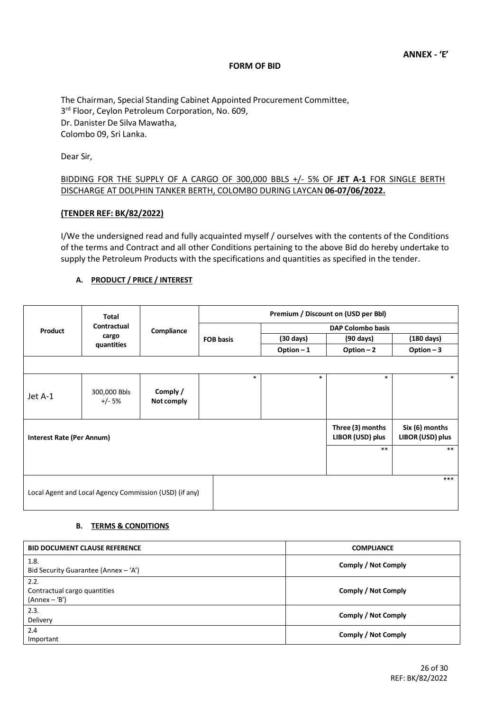#### **FORM OF BID**

The Chairman, Special Standing Cabinet Appointed Procurement Committee, 3 rd Floor, Ceylon Petroleum Corporation, No. 609, Dr. Danister De Silva Mawatha, Colombo 09, Sri Lanka.

Dear Sir,

#### BIDDING FOR THE SUPPLY OF A CARGO OF 300,000 BBLS +/- 5% OF **JET A-1** FOR SINGLE BERTH DISCHARGE AT DOLPHIN TANKER BERTH, COLOMBO DURING LAYCAN **06-07/06/2022.**

#### **(TENDER REF: BK/82/2022)**

I/We the undersigned read and fully acquainted myself / ourselves with the contents of the Conditions of the terms and Contract and all other Conditions pertaining to the above Bid do hereby undertake to supply the Petroleum Products with the specifications and quantities as specified in the tender.

#### **A. PRODUCT / PRICE / INTEREST**

|                                  | Total                                                  |                        | Premium / Discount on (USD per Bbl) |                     |                                      |                                    |  |
|----------------------------------|--------------------------------------------------------|------------------------|-------------------------------------|---------------------|--------------------------------------|------------------------------------|--|
| Product                          | Contractual                                            | Compliance             |                                     | DAP Colombo basis   |                                      |                                    |  |
|                                  | cargo                                                  |                        | <b>FOB basis</b>                    | $(30 \text{ days})$ | (90 days)                            | $(180 \text{ days})$               |  |
|                                  | quantities                                             |                        |                                     | Option $-1$         | Option $-2$                          | Option $-3$                        |  |
|                                  |                                                        |                        |                                     |                     |                                      |                                    |  |
|                                  |                                                        |                        | $\ast$                              | $\ast$              | $\ast$                               | $\ast$                             |  |
| Jet A-1                          | 300,000 Bbls<br>$+/- 5%$                               | Comply /<br>Not comply |                                     |                     |                                      |                                    |  |
| <b>Interest Rate (Per Annum)</b> |                                                        |                        |                                     |                     | Three (3) months<br>LIBOR (USD) plus | Six (6) months<br>LIBOR (USD) plus |  |
|                                  |                                                        |                        |                                     |                     | $***$                                | $***$                              |  |
|                                  |                                                        |                        |                                     |                     |                                      | ***                                |  |
|                                  | Local Agent and Local Agency Commission (USD) (if any) |                        |                                     |                     |                                      |                                    |  |

#### **B. TERMS & CONDITIONS**

| <b>BID DOCUMENT CLAUSE REFERENCE</b>                  | <b>COMPLIANCE</b>   |
|-------------------------------------------------------|---------------------|
| 1.8.<br>Bid Security Guarantee (Annex $-$ 'A')        | Comply / Not Comply |
| 2.2.<br>Contractual cargo quantities<br>(Annex – 'B') | Comply / Not Comply |
| 2.3.<br>Delivery                                      | Comply / Not Comply |
| 2.4<br>Important                                      | Comply / Not Comply |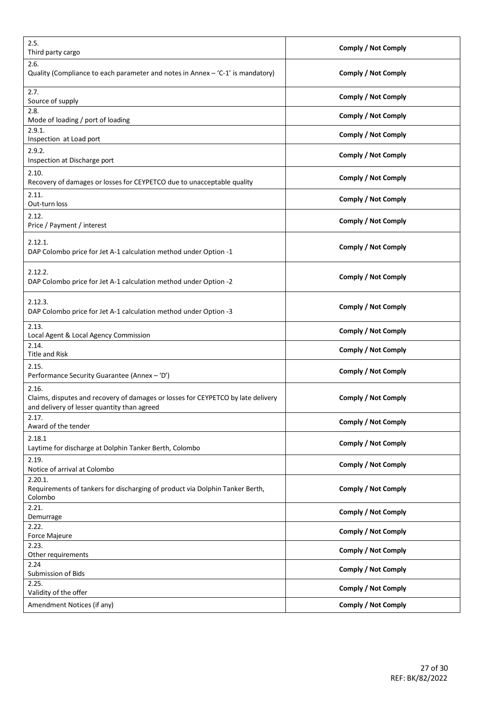| 2.5.<br>Third party cargo                                                                                                                | <b>Comply / Not Comply</b> |
|------------------------------------------------------------------------------------------------------------------------------------------|----------------------------|
| 2.6.<br>Quality (Compliance to each parameter and notes in Annex $-$ 'C-1' is mandatory)                                                 | Comply / Not Comply        |
| 2.7.<br>Source of supply                                                                                                                 | <b>Comply / Not Comply</b> |
| 2.8.<br>Mode of loading / port of loading                                                                                                | <b>Comply / Not Comply</b> |
| 2.9.1.<br>Inspection at Load port                                                                                                        | <b>Comply / Not Comply</b> |
| 2.9.2.<br>Inspection at Discharge port                                                                                                   | Comply / Not Comply        |
| 2.10.<br>Recovery of damages or losses for CEYPETCO due to unacceptable quality                                                          | <b>Comply / Not Comply</b> |
| 2.11.<br>Out-turn loss                                                                                                                   | <b>Comply / Not Comply</b> |
| 2.12.<br>Price / Payment / interest                                                                                                      | <b>Comply / Not Comply</b> |
| 2.12.1.<br>DAP Colombo price for Jet A-1 calculation method under Option -1                                                              | <b>Comply / Not Comply</b> |
| 2.12.2.<br>DAP Colombo price for Jet A-1 calculation method under Option -2                                                              | Comply / Not Comply        |
| 2.12.3.<br>DAP Colombo price for Jet A-1 calculation method under Option -3                                                              | <b>Comply / Not Comply</b> |
| 2.13.<br>Local Agent & Local Agency Commission                                                                                           | <b>Comply / Not Comply</b> |
| 2.14.<br><b>Title and Risk</b>                                                                                                           | <b>Comply / Not Comply</b> |
| 2.15.<br>Performance Security Guarantee (Annex - 'D')                                                                                    | <b>Comply / Not Comply</b> |
| 2.16.<br>Claims, disputes and recovery of damages or losses for CEYPETCO by late delivery<br>and delivery of lesser quantity than agreed | <b>Comply / Not Comply</b> |
| 2.17.<br>Award of the tender                                                                                                             | <b>Comply / Not Comply</b> |
| 2.18.1<br>Laytime for discharge at Dolphin Tanker Berth, Colombo                                                                         | <b>Comply / Not Comply</b> |
| 2.19.<br>Notice of arrival at Colombo                                                                                                    | <b>Comply / Not Comply</b> |
| 2.20.1.<br>Requirements of tankers for discharging of product via Dolphin Tanker Berth,<br>Colombo                                       | Comply / Not Comply        |
| 2.21.<br>Demurrage                                                                                                                       | <b>Comply / Not Comply</b> |
| 2.22.<br>Force Majeure                                                                                                                   | <b>Comply / Not Comply</b> |
| 2.23.<br>Other requirements                                                                                                              | <b>Comply / Not Comply</b> |
| 2.24<br>Submission of Bids                                                                                                               | <b>Comply / Not Comply</b> |
| 2.25.<br>Validity of the offer                                                                                                           | <b>Comply / Not Comply</b> |
| Amendment Notices (if any)                                                                                                               | Comply / Not Comply        |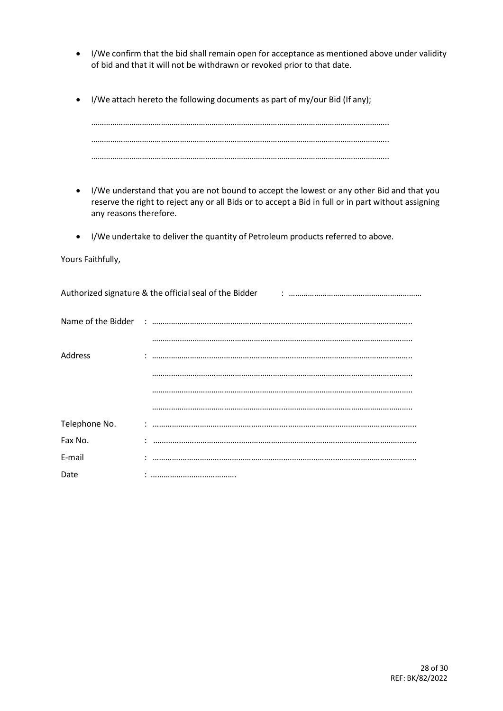- I/We confirm that the bid shall remain open for acceptance as mentioned above under validity of bid and that it will not be withdrawn or revoked prior to that date.
- I/We attach hereto the following documents as part of my/our Bid (If any);

- I/We understand that you are not bound to accept the lowest or any other Bid and that you reserve the right to reject any or all Bids or to accept a Bid in full or in part without assigning any reasons therefore.
- I/We undertake to deliver the quantity of Petroleum products referred to above.

Yours Faithfully,

| Address       |  |
|---------------|--|
|               |  |
|               |  |
|               |  |
| Telephone No. |  |
| Fax No.       |  |
| E-mail        |  |
| Date          |  |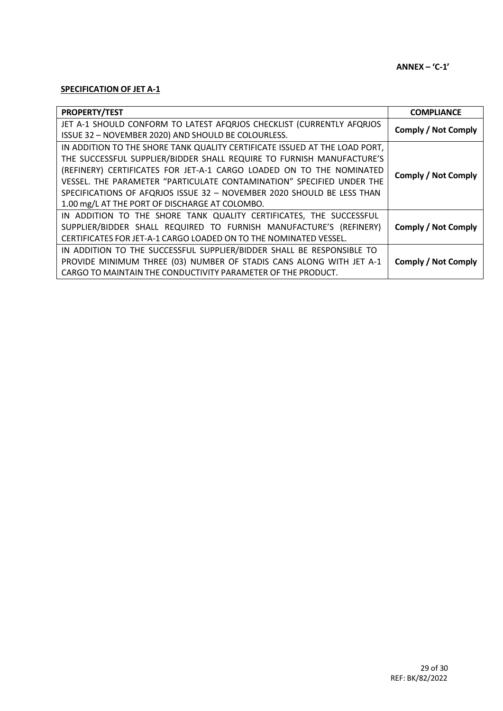#### **SPECIFICATION OF JET A-1**

| <b>PROPERTY/TEST</b>                                                       | <b>COMPLIANCE</b>          |
|----------------------------------------------------------------------------|----------------------------|
| JET A-1 SHOULD CONFORM TO LATEST AFQRJOS CHECKLIST (CURRENTLY AFQRJOS      | <b>Comply / Not Comply</b> |
| ISSUE 32 - NOVEMBER 2020) AND SHOULD BE COLOURLESS.                        |                            |
| IN ADDITION TO THE SHORE TANK QUALITY CERTIFICATE ISSUED AT THE LOAD PORT, |                            |
| THE SUCCESSFUL SUPPLIER/BIDDER SHALL REQUIRE TO FURNISH MANUFACTURE'S      |                            |
| (REFINERY) CERTIFICATES FOR JET-A-1 CARGO LOADED ON TO THE NOMINATED       | <b>Comply / Not Comply</b> |
| VESSEL. THE PARAMETER "PARTICULATE CONTAMINATION" SPECIFIED UNDER THE      |                            |
| SPECIFICATIONS OF AFQRJOS ISSUE 32 - NOVEMBER 2020 SHOULD BE LESS THAN     |                            |
| 1.00 mg/L AT THE PORT OF DISCHARGE AT COLOMBO.                             |                            |
| IN ADDITION TO THE SHORE TANK QUALITY CERTIFICATES, THE SUCCESSFUL         |                            |
| SUPPLIER/BIDDER SHALL REQUIRED TO FURNISH MANUFACTURE'S (REFINERY)         | <b>Comply / Not Comply</b> |
| CERTIFICATES FOR JET-A-1 CARGO LOADED ON TO THE NOMINATED VESSEL.          |                            |
| IN ADDITION TO THE SUCCESSFUL SUPPLIER/BIDDER SHALL BE RESPONSIBLE TO      |                            |
| PROVIDE MINIMUM THREE (03) NUMBER OF STADIS CANS ALONG WITH JET A-1        | <b>Comply / Not Comply</b> |
| CARGO TO MAINTAIN THE CONDUCTIVITY PARAMETER OF THE PRODUCT.               |                            |